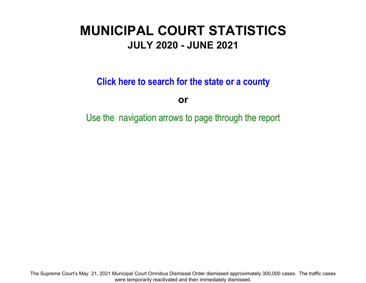# **MUNICIPAL COURT STATISTICSJULY 2020 - JUNE 2021**

**Click here to search for the state or a count y**

**or**

Use the navigation arrows to page through the report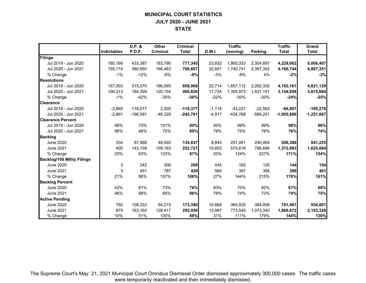## **MUNICIPAL COURT STATISTICS JULY 2020 - JUNE 2021 STATE**

|                                  |             | D.P. &     | Other     | <b>Criminal</b> |          | <b>Traffic</b> |                | <b>Traffic</b> | Grand        |
|----------------------------------|-------------|------------|-----------|-----------------|----------|----------------|----------------|----------------|--------------|
|                                  | Indictables | P.D.P.     | Criminal  | <b>Total</b>    | D.W.I.   | (moving)       | <b>Parking</b> | <b>Total</b>   | <b>Total</b> |
| Filings                          |             |            |           |                 |          |                |                |                |              |
| Jul 2019 - Jun 2020              | 160,168     | 433,387    | 183,790   | 777,345         | 23,832   | 1,900,333      | 2,304,897      | 4,229,062      | 5,006,407    |
| Jul 2020 - Jun 2021              | 159.174     | 380.950    | 166,483   | 706,607         | 22.651   | 1.740.741      | 2.397.352      | 4,160,744      | 4,867,351    |
| % Change                         | $-1%$       | $-12%$     | $-9%$     | $-9%$           | $-5%$    | $-8%$          | 4%             | $-2%$          | $-3%$        |
| <b>Resolutions</b>               |             |            |           |                 |          |                |                |                |              |
| Jul 2019 - Jun 2020              | 157,503     | 315.370    | 186.095   | 658,968         | 22,714   | 1,857,112      | 2,282,335      | 4,162,161      | 4,821,129    |
| Jul 2020 - Jun 2021              | 156,313     | 184,359    | 120,154   | 460,826         | 17,734   | 1,305,973      | 1,831,151      | 3,154,858      | 3,615,684    |
| % Change                         | $-1\%$      | $-42%$     | $-35%$    | $-30%$          | $-22%$   | $-30%$         | $-20%$         | $-24%$         | $-25%$       |
| <b>Clearance</b>                 |             |            |           |                 |          |                |                |                |              |
| Jul 2019 - Jun 2020              | $-2,665$    | $-118,017$ | 2,305     | $-118,377$      | $-1,118$ | $-43,221$      | $-22,562$      | $-66,901$      | $-185,278$   |
| Jul 2020 - Jun 2021              | $-2,861$    | $-196,591$ | $-46,329$ | $-245,781$      | $-4,917$ | $-434,768$     | $-566,201$     | $-1,005,886$   | $-1,251,667$ |
| <b>Clearance Percent</b>         |             |            |           |                 |          |                |                |                |              |
| Jul 2019 - Jun 2020              | 98%         | 73%        | 101%      | 85%             | 95%      | 98%            | 99%            | 98%            | 96%          |
| Jul 2020 - Jun 2021              | 98%         | 48%        | 72%       | 65%             | 78%      | 75%            | 76%            | 76%            | 74%          |
| <b>Backlog</b>                   |             |            |           |                 |          |                |                |                |              |
| <b>June 2020</b>                 | 334         | 87,568     | 46,935    | 134,837         | 8,843    | 257,081        | 240,464        | 506,388        | 641,225      |
| <b>June 2021</b>                 | 400         | 143,158    | 109,163   | 252,721         | 10,653   | 575.616        | 786,694        | 1,372,963      | 1,625,684    |
| % Change                         | 20%         | 63%        | 133%      | 87%             | 20%      | 124%           | 227%           | 171%           | 154%         |
| <b>Backlog/100 Mthly Filings</b> |             |            |           |                 |          |                |                |                |              |
| <b>June 2020</b>                 | 3           | 242        | 306       | 208             | 445      | 162            | 125            | 144            | 154          |
| <b>June 2021</b>                 | 3           | 451        | 787       | 429             | 564      | 397            | 394            | 396            | 401          |
| % Change                         | 21%         | 86%        | 157%      | 106%            | 27%      | 144%           | 215%           | 176%           | 161%         |
| <b>Backlog Percent</b>           |             |            |           |                 |          |                |                |                |              |
| <b>June 2020</b>                 | 42%         | 81%        | 73%       | 78%             | 83%      | 70%            | 62%            | 67%            | 69%          |
| <b>June 2021</b>                 | 46%         | 88%        | 85%       | 86%             | 76%      | 74%            | 73%            | 74%            | 75%          |
| <b>Active Pending</b>            |             |            |           |                 |          |                |                |                |              |
| <b>June 2020</b>                 | 792         | 108,333    | 64,215    | 173,340         | 10,668   | 365,935        | 384,858        | 761,461        | 934,801      |
| <b>June 2021</b>                 | 875         | 163,164    | 128,417   | 292,456         | 13,987   | 773,545        | 1,073,340      | 1,860,872      | 2,153,328    |
| % Change                         | 10%         | 51%        | 100%      | 69%             | 31%      | 111%           | 179%           | 144%           | 130%         |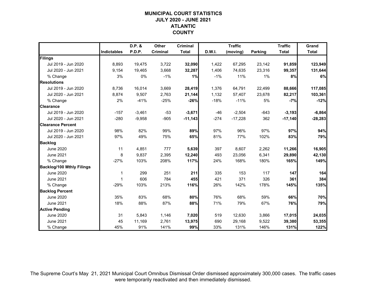## **MUNICIPAL COURT STATISTICSJULY 2020 - JUNE 2021 ATLANTIC COUNTY**

|                                  |                    | D.P. &   | Other    | <b>Criminal</b> |        | <b>Traffic</b> |                | <b>Traffic</b> | Grand        |
|----------------------------------|--------------------|----------|----------|-----------------|--------|----------------|----------------|----------------|--------------|
|                                  | <b>Indictables</b> | P.D.P.   | Criminal | <b>Total</b>    | D.W.I. | (moving)       | <b>Parking</b> | <b>Total</b>   | <b>Total</b> |
| Filings                          |                    |          |          |                 |        |                |                |                |              |
| Jul 2019 - Jun 2020              | 8,893              | 19,475   | 3,722    | 32,090          | 1,422  | 67,295         | 23,142         | 91,859         | 123,949      |
| Jul 2020 - Jun 2021              | 9,154              | 19,465   | 3,668    | 32,287          | 1,406  | 74,635         | 23,316         | 99,357         | 131,644      |
| % Change                         | 3%                 | 0%       | $-1%$    | 1%              | $-1%$  | 11%            | 1%             | 8%             | 6%           |
| <b>Resolutions</b>               |                    |          |          |                 |        |                |                |                |              |
| Jul 2019 - Jun 2020              | 8,736              | 16,014   | 3,669    | 28,419          | 1,376  | 64,791         | 22,499         | 88,666         | 117,085      |
| Jul 2020 - Jun 2021              | 8,874              | 9,507    | 2,763    | 21,144          | 1,132  | 57,407         | 23,678         | 82,217         | 103,361      |
| % Change                         | 2%                 | $-41%$   | $-25%$   | $-26%$          | $-18%$ | $-11%$         | 5%             | $-7%$          | $-12%$       |
| <b>Clearance</b>                 |                    |          |          |                 |        |                |                |                |              |
| Jul 2019 - Jun 2020              | $-157$             | $-3,461$ | $-53$    | $-3,671$        | $-46$  | $-2,504$       | $-643$         | $-3,193$       | $-6,864$     |
| Jul 2020 - Jun 2021              | $-280$             | $-9,958$ | $-905$   | $-11,143$       | $-274$ | $-17,228$      | 362            | $-17,140$      | $-28,283$    |
| <b>Clearance Percent</b>         |                    |          |          |                 |        |                |                |                |              |
| Jul 2019 - Jun 2020              | 98%                | 82%      | 99%      | 89%             | 97%    | 96%            | 97%            | 97%            | 94%          |
| Jul 2020 - Jun 2021              | 97%                | 49%      | 75%      | 65%             | 81%    | 77%            | 102%           | 83%            | 79%          |
| <b>Backlog</b>                   |                    |          |          |                 |        |                |                |                |              |
| <b>June 2020</b>                 | 11                 | 4,851    | 777      | 5,639           | 397    | 8,607          | 2,262          | 11,266         | 16,905       |
| <b>June 2021</b>                 | 8                  | 9,837    | 2,395    | 12,240          | 493    | 23,056         | 6,341          | 29,890         | 42,130       |
| % Change                         | $-27%$             | 103%     | 208%     | 117%            | 24%    | 168%           | 180%           | 165%           | 149%         |
| <b>Backlog/100 Mthly Filings</b> |                    |          |          |                 |        |                |                |                |              |
| <b>June 2020</b>                 | 1                  | 299      | 251      | 211             | 335    | 153            | 117            | 147            | 164          |
| <b>June 2021</b>                 | 1                  | 606      | 784      | 455             | 421    | 371            | 326            | 361            | 384          |
| % Change                         | $-29%$             | 103%     | 213%     | 116%            | 26%    | 142%           | 178%           | 145%           | 135%         |
| <b>Backlog Percent</b>           |                    |          |          |                 |        |                |                |                |              |
| <b>June 2020</b>                 | 35%                | 83%      | 68%      | 80%             | 76%    | 68%            | 59%            | 66%            | 70%          |
| <b>June 2021</b>                 | 18%                | 88%      | 87%      | 88%             | 71%    | 79%            | 67%            | 76%            | 79%          |
| <b>Active Pending</b>            |                    |          |          |                 |        |                |                |                |              |
| <b>June 2020</b>                 | 31                 | 5,843    | 1,146    | 7,020           | 519    | 12,630         | 3,866          | 17,015         | 24,035       |
| <b>June 2021</b>                 | 45                 | 11,169   | 2,761    | 13,975          | 690    | 29,168         | 9,522          | 39,380         | 53,355       |
| % Change                         | 45%                | 91%      | 141%     | 99%             | 33%    | 131%           | 146%           | 131%           | 122%         |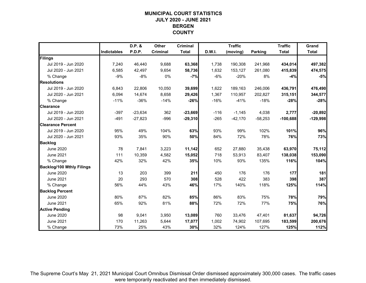## **MUNICIPAL COURT STATISTICSJULY 2020 - JUNE 2021 BERGEN COUNTY**

|                                  |             | D.P. &    | Other           | <b>Criminal</b> |               | <b>Traffic</b> |                | <b>Traffic</b> | Grand        |
|----------------------------------|-------------|-----------|-----------------|-----------------|---------------|----------------|----------------|----------------|--------------|
|                                  | Indictables | P.D.P.    | <b>Criminal</b> | <b>Total</b>    | <b>D.W.I.</b> | (moving)       | <b>Parking</b> | <b>Total</b>   | <b>Total</b> |
| Filings                          |             |           |                 |                 |               |                |                |                |              |
| Jul 2019 - Jun 2020              | 7,240       | 46,440    | 9,688           | 63,368          | 1,738         | 190,308        | 241,968        | 434,014        | 497,382      |
| Jul 2020 - Jun 2021              | 6,585       | 42,497    | 9,654           | 58,736          | 1,632         | 153,127        | 261,080        | 415,839        | 474,575      |
| % Change                         | $-9%$       | $-8%$     | 0%              | $-7%$           | -6%           | $-20%$         | 8%             | $-4%$          | $-5%$        |
| <b>Resolutions</b>               |             |           |                 |                 |               |                |                |                |              |
| Jul 2019 - Jun 2020              | 6,843       | 22,806    | 10,050          | 39,699          | 1,622         | 189,163        | 246,006        | 436,791        | 476,490      |
| Jul 2020 - Jun 2021              | 6,094       | 14,674    | 8,658           | 29,426          | 1,367         | 110,957        | 202,827        | 315,151        | 344,577      |
| % Change                         | $-11%$      | $-36%$    | $-14%$          | $-26%$          | $-16%$        | $-41%$         | $-18%$         | $-28%$         | $-28%$       |
| <b>Clearance</b>                 |             |           |                 |                 |               |                |                |                |              |
| Jul 2019 - Jun 2020              | $-397$      | $-23,634$ | 362             | $-23,669$       | $-116$        | $-1,145$       | 4,038          | 2,777          | $-20,892$    |
| Jul 2020 - Jun 2021              | $-491$      | $-27,823$ | $-996$          | $-29,310$       | $-265$        | $-42,170$      | $-58,253$      | $-100,688$     | $-129,998$   |
| <b>Clearance Percent</b>         |             |           |                 |                 |               |                |                |                |              |
| Jul 2019 - Jun 2020              | 95%         | 49%       | 104%            | 63%             | 93%           | 99%            | 102%           | 101%           | 96%          |
| Jul 2020 - Jun 2021              | 93%         | 35%       | 90%             | 50%             | 84%           | 72%            | 78%            | 76%            | 73%          |
| <b>Backlog</b>                   |             |           |                 |                 |               |                |                |                |              |
| June 2020                        | 78          | 7,841     | 3,223           | 11,142          | 652           | 27,880         | 35,438         | 63,970         | 75,112       |
| <b>June 2021</b>                 | 111         | 10,359    | 4,582           | 15,052          | 718           | 53,913         | 83,407         | 138,038        | 153,090      |
| % Change                         | 42%         | 32%       | 42%             | 35%             | 10%           | 93%            | 135%           | 116%           | 104%         |
| <b>Backlog/100 Mthly Filings</b> |             |           |                 |                 |               |                |                |                |              |
| <b>June 2020</b>                 | 13          | 203       | 399             | 211             | 450           | 176            | 176            | 177            | 181          |
| <b>June 2021</b>                 | 20          | 293       | 570             | 308             | 528           | 422            | 383            | 398            | 387          |
| % Change                         | 56%         | 44%       | 43%             | 46%             | 17%           | 140%           | 118%           | 125%           | 114%         |
| <b>Backlog Percent</b>           |             |           |                 |                 |               |                |                |                |              |
| June 2020                        | 80%         | 87%       | 82%             | 85%             | 86%           | 83%            | 75%            | 78%            | 79%          |
| <b>June 2021</b>                 | 65%         | 92%       | 81%             | 88%             | 72%           | 72%            | 77%            | 75%            | 76%          |
| <b>Active Pending</b>            |             |           |                 |                 |               |                |                |                |              |
| <b>June 2020</b>                 | 98          | 9,041     | 3,950           | 13,089          | 760           | 33,476         | 47,401         | 81,637         | 94,726       |
| June 2021                        | 170         | 11,263    | 5,644           | 17,077          | 1,002         | 74,902         | 107,695        | 183,599        | 200,676      |
| % Change                         | 73%         | 25%       | 43%             | 30%             | 32%           | 124%           | 127%           | 125%           | 112%         |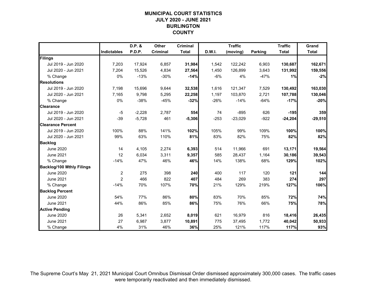#### **MUNICIPAL COURT STATISTICSJULY 2020 - JUNE 2021 BURLINGTON COUNTY**

|                                  |                    | D.P. &   | Other    | <b>Criminal</b> |        | <b>Traffic</b> |                | <b>Traffic</b> | Grand        |
|----------------------------------|--------------------|----------|----------|-----------------|--------|----------------|----------------|----------------|--------------|
|                                  | <b>Indictables</b> | P.D.P.   | Criminal | <b>Total</b>    | D.W.I. | (moving)       | <b>Parking</b> | <b>Total</b>   | <b>Total</b> |
| Filings                          |                    |          |          |                 |        |                |                |                |              |
| Jul 2019 - Jun 2020              | 7,203              | 17,924   | 6,857    | 31,984          | 1,542  | 122,242        | 6,903          | 130,687        | 162,671      |
| Jul 2020 - Jun 2021              | 7,204              | 15,526   | 4,834    | 27,564          | 1,450  | 126,899        | 3,643          | 131,992        | 159,556      |
| % Change                         | 0%                 | $-13%$   | $-30%$   | $-14%$          | $-6%$  | 4%             | $-47%$         | 1%             | $-2%$        |
| <b>Resolutions</b>               |                    |          |          |                 |        |                |                |                |              |
| Jul 2019 - Jun 2020              | 7,198              | 15,696   | 9,644    | 32,538          | 1,616  | 121,347        | 7,529          | 130,492        | 163,030      |
| Jul 2020 - Jun 2021              | 7,165              | 9,798    | 5,295    | 22,258          | 1,197  | 103,870        | 2,721          | 107,788        | 130,046      |
| % Change                         | 0%                 | $-38%$   | $-45%$   | $-32%$          | $-26%$ | $-14%$         | $-64%$         | $-17%$         | $-20%$       |
| <b>Clearance</b>                 |                    |          |          |                 |        |                |                |                |              |
| Jul 2019 - Jun 2020              | $-5$               | $-2,228$ | 2,787    | 554             | 74     | $-895$         | 626            | $-195$         | 359          |
| Jul 2020 - Jun 2021              | $-39$              | $-5,728$ | 461      | $-5,306$        | $-253$ | $-23,029$      | $-922$         | $-24,204$      | $-29,510$    |
| <b>Clearance Percent</b>         |                    |          |          |                 |        |                |                |                |              |
| Jul 2019 - Jun 2020              | 100%               | 88%      | 141%     | 102%            | 105%   | 99%            | 109%           | 100%           | 100%         |
| Jul 2020 - Jun 2021              | 99%                | 63%      | 110%     | 81%             | 83%    | 82%            | 75%            | 82%            | 82%          |
| <b>Backlog</b>                   |                    |          |          |                 |        |                |                |                |              |
| <b>June 2020</b>                 | 14                 | 4,105    | 2,274    | 6,393           | 514    | 11,966         | 691            | 13,171         | 19,564       |
| <b>June 2021</b>                 | 12                 | 6,034    | 3,311    | 9,357           | 585    | 28,437         | 1,164          | 30,186         | 39,543       |
| % Change                         | $-14%$             | 47%      | 46%      | 46%             | 14%    | 138%           | 68%            | 129%           | 102%         |
| <b>Backlog/100 Mthly Filings</b> |                    |          |          |                 |        |                |                |                |              |
| <b>June 2020</b>                 | 2                  | 275      | 398      | 240             | 400    | 117            | 120            | 121            | 144          |
| <b>June 2021</b>                 | $\overline{2}$     | 466      | 822      | 407             | 484    | 269            | 383            | 274            | 297          |
| % Change                         | $-14%$             | 70%      | 107%     | 70%             | 21%    | 129%           | 219%           | 127%           | 106%         |
| <b>Backlog Percent</b>           |                    |          |          |                 |        |                |                |                |              |
| <b>June 2020</b>                 | 54%                | 77%      | 86%      | 80%             | 83%    | 70%            | 85%            | 72%            | 74%          |
| <b>June 2021</b>                 | 44%                | 86%      | 85%      | 86%             | 75%    | 76%            | 66%            | 75%            | 78%          |
| <b>Active Pending</b>            |                    |          |          |                 |        |                |                |                |              |
| <b>June 2020</b>                 | 26                 | 5,341    | 2,652    | 8,019           | 621    | 16,979         | 816            | 18,416         | 26,435       |
| <b>June 2021</b>                 | 27                 | 6,987    | 3,877    | 10,891          | 775    | 37,495         | 1,772          | 40,042         | 50,933       |
| % Change                         | 4%                 | 31%      | 46%      | 36%             | 25%    | 121%           | 117%           | 117%           | 93%          |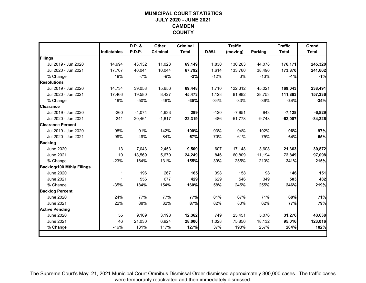## **MUNICIPAL COURT STATISTICSJULY 2020 - JUNE 2021 CAMDEN COUNTY**

|                                  |                    | D.P. &    | Other    | <b>Criminal</b> |        | <b>Traffic</b> |                | <b>Traffic</b> | Grand        |
|----------------------------------|--------------------|-----------|----------|-----------------|--------|----------------|----------------|----------------|--------------|
|                                  | <b>Indictables</b> | P.D.P.    | Criminal | <b>Total</b>    | D.W.I. | (moving)       | <b>Parking</b> | <b>Total</b>   | <b>Total</b> |
| Filings                          |                    |           |          |                 |        |                |                |                |              |
| Jul 2019 - Jun 2020              | 14,994             | 43,132    | 11,023   | 69,149          | 1.830  | 130,263        | 44,078         | 176,171        | 245,320      |
| Jul 2020 - Jun 2021              | 17,707             | 40,041    | 10,044   | 67,792          | 1,614  | 133,760        | 38,496         | 173,870        | 241,662      |
| % Change                         | 18%                | $-7%$     | $-9%$    | $-2%$           | $-12%$ | 3%             | $-13%$         | $-1%$          | $-1%$        |
| <b>Resolutions</b>               |                    |           |          |                 |        |                |                |                |              |
| Jul 2019 - Jun 2020              | 14,734             | 39,058    | 15,656   | 69,448          | 1,710  | 122,312        | 45,021         | 169,043        | 238,491      |
| Jul 2020 - Jun 2021              | 17,466             | 19,580    | 8,427    | 45,473          | 1,128  | 81,982         | 28,753         | 111,863        | 157,336      |
| % Change                         | 19%                | $-50%$    | $-46%$   | $-35%$          | $-34%$ | $-33%$         | $-36%$         | $-34%$         | $-34%$       |
| <b>Clearance</b>                 |                    |           |          |                 |        |                |                |                |              |
| Jul 2019 - Jun 2020              | $-260$             | $-4,074$  | 4,633    | 299             | $-120$ | $-7,951$       | 943            | $-7,128$       | $-6,829$     |
| Jul 2020 - Jun 2021              | $-241$             | $-20,461$ | $-1,617$ | $-22,319$       | $-486$ | $-51,778$      | $-9,743$       | $-62,007$      | $-84,326$    |
| <b>Clearance Percent</b>         |                    |           |          |                 |        |                |                |                |              |
| Jul 2019 - Jun 2020              | 98%                | 91%       | 142%     | 100%            | 93%    | 94%            | 102%           | 96%            | 97%          |
| Jul 2020 - Jun 2021              | 99%                | 49%       | 84%      | 67%             | 70%    | 61%            | 75%            | 64%            | 65%          |
| <b>Backlog</b>                   |                    |           |          |                 |        |                |                |                |              |
| June 2020                        | 13                 | 7,043     | 2,453    | 9,509           | 607    | 17,148         | 3,608          | 21,363         | 30,872       |
| June 2021                        | 10                 | 18,569    | 5,670    | 24,249          | 846    | 60,809         | 11,194         | 72,849         | 97,098       |
| % Change                         | $-23%$             | 164%      | 131%     | 155%            | 39%    | 255%           | 210%           | 241%           | 215%         |
| <b>Backlog/100 Mthly Filings</b> |                    |           |          |                 |        |                |                |                |              |
| <b>June 2020</b>                 | 1                  | 196       | 267      | 165             | 398    | 158            | 98             | 146            | 151          |
| <b>June 2021</b>                 | 1                  | 556       | 677      | 429             | 629    | 546            | 349            | 503            | 482          |
| % Change                         | $-35%$             | 184%      | 154%     | 160%            | 58%    | 245%           | 255%           | 246%           | 219%         |
| <b>Backlog Percent</b>           |                    |           |          |                 |        |                |                |                |              |
| <b>June 2020</b>                 | 24%                | 77%       | 77%      | 77%             | 81%    | 67%            | 71%            | 68%            | 71%          |
| <b>June 2021</b>                 | 22%                | 88%       | 82%      | 87%             | 82%    | 80%            | 62%            | 77%            | 79%          |
| <b>Active Pending</b>            |                    |           |          |                 |        |                |                |                |              |
| <b>June 2020</b>                 | 55                 | 9,109     | 3,198    | 12,362          | 749    | 25,451         | 5,076          | 31,276         | 43,638       |
| <b>June 2021</b>                 | 46                 | 21,030    | 6,924    | 28,000          | 1,028  | 75,856         | 18,132         | 95,016         | 123,016      |
| % Change                         | $-16%$             | 131%      | 117%     | 127%            | 37%    | 198%           | 257%           | 204%           | 182%         |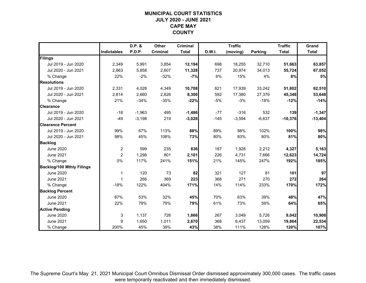## **MUNICIPAL COURT STATISTICSJULY 2020 - JUNE 2021 CAPE MAY COUNTY**

|                                  |                    | D.P. &   | <b>Other</b> | <b>Criminal</b> |        | <b>Traffic</b> |                | <b>Traffic</b> | Grand        |
|----------------------------------|--------------------|----------|--------------|-----------------|--------|----------------|----------------|----------------|--------------|
|                                  | <b>Indictables</b> | P.D.P.   | Criminal     | <b>Total</b>    | D.W.I. | (moving)       | <b>Parking</b> | <b>Total</b>   | <b>Total</b> |
| Filings                          |                    |          |              |                 |        |                |                |                |              |
| Jul 2019 - Jun 2020              | 2,349              | 5,991    | 3,854        | 12,194          | 698    | 18,255         | 32,710         | 51,663         | 63,857       |
| Jul 2020 - Jun 2021              | 2,863              | 5,858    | 2,607        | 11,328          | 737    | 20,974         | 34,013         | 55,724         | 67,052       |
| % Change                         | 22%                | $-2%$    | $-32%$       | $-7%$           | 6%     | 15%            | 4%             | 8%             | $5%$         |
| <b>Resolutions</b>               |                    |          |              |                 |        |                |                |                |              |
| Jul 2019 - Jun 2020              | 2,331              | 4,028    | 4,349        | 10,708          | 621    | 17,939         | 33,242         | 51,802         | 62,510       |
| Jul 2020 - Jun 2021              | 2,814              | 2,660    | 2,826        | 8,300           | 592    | 17,380         | 27,376         | 45,348         | 53,648       |
| % Change                         | 21%                | $-34%$   | $-35%$       | $-22%$          | $-5%$  | $-3%$          | $-18%$         | $-12%$         | $-14%$       |
| <b>Clearance</b>                 |                    |          |              |                 |        |                |                |                |              |
| Jul 2019 - Jun 2020              | $-18$              | $-1,963$ | 495          | $-1,486$        | $-77$  | $-316$         | 532            | 139            | $-1,347$     |
| Jul 2020 - Jun 2021              | $-49$              | $-3,198$ | 219          | $-3,028$        | $-145$ | $-3,594$       | $-6,637$       | $-10,376$      | $-13,404$    |
| <b>Clearance Percent</b>         |                    |          |              |                 |        |                |                |                |              |
| Jul 2019 - Jun 2020              | 99%                | 67%      | 113%         | 88%             | 89%    | 98%            | 102%           | 100%           | 98%          |
| Jul 2020 - Jun 2021              | 98%                | 45%      | 108%         | 73%             | 80%    | 83%            | 80%            | 81%            | 80%          |
| <b>Backlog</b>                   |                    |          |              |                 |        |                |                |                |              |
| <b>June 2020</b>                 | $\overline{c}$     | 599      | 235          | 836             | 187    | 1,928          | 2,212          | 4,327          | 5,163        |
| <b>June 2021</b>                 | $\overline{c}$     | 1,298    | 801          | 2,101           | 226    | 4,731          | 7,666          | 12,623         | 14,724       |
| % Change                         | 0%                 | 117%     | 241%         | 151%            | 21%    | 145%           | 247%           | 192%           | 185%         |
| <b>Backlog/100 Mthly Filings</b> |                    |          |              |                 |        |                |                |                |              |
| <b>June 2020</b>                 | 1                  | 120      | 73           | 82              | 321    | 127            | 81             | 101            | 97           |
| <b>June 2021</b>                 | 1                  | 266      | 369          | 223             | 368    | 271            | 270            | 272            | 264          |
| % Change                         | $-18%$             | 122%     | 404%         | 171%            | 14%    | 114%           | 233%           | 170%           | 172%         |
| <b>Backlog Percent</b>           |                    |          |              |                 |        |                |                |                |              |
| <b>June 2020</b>                 | 67%                | 53%      | 32%          | 45%             | 70%    | 63%            | 39%            | 48%            | 47%          |
| <b>June 2021</b>                 | 22%                | 79%      | 79%          | 79%             | 61%    | 73%            | 59%            | 64%            | 65%          |
| <b>Active Pending</b>            |                    |          |              |                 |        |                |                |                |              |
| <b>June 2020</b>                 | 3                  | 1,137    | 726          | 1,866           | 267    | 3,049          | 5,726          | 9,042          | 10,908       |
| <b>June 2021</b>                 | 9                  | 1,650    | 1,011        | 2,670           | 368    | 6,437          | 13,059         | 19,864         | 22,534       |
| % Change                         | 200%               | 45%      | 39%          | 43%             | 38%    | 111%           | 128%           | 120%           | 107%         |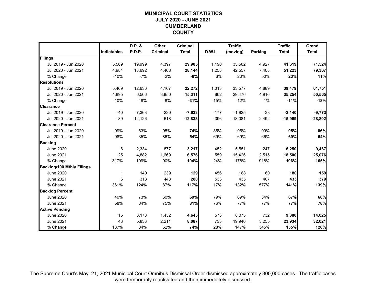#### **MUNICIPAL COURT STATISTICSJULY 2020 - JUNE 2021 CUMBERLAND COUNTY**

|                                  |                    | D.P. &    | Other    | <b>Criminal</b> |        | <b>Traffic</b> |                | <b>Traffic</b> | Grand        |
|----------------------------------|--------------------|-----------|----------|-----------------|--------|----------------|----------------|----------------|--------------|
|                                  | <b>Indictables</b> | P.D.P.    | Criminal | <b>Total</b>    | D.W.I. | (moving)       | <b>Parking</b> | <b>Total</b>   | <b>Total</b> |
| Filings                          |                    |           |          |                 |        |                |                |                |              |
| Jul 2019 - Jun 2020              | 5,509              | 19,999    | 4,397    | 29,905          | 1,190  | 35,502         | 4,927          | 41,619         | 71,524       |
| Jul 2020 - Jun 2021              | 4,984              | 18,692    | 4,468    | 28,144          | 1,258  | 42,557         | 7,408          | 51,223         | 79,367       |
| % Change                         | $-10%$             | $-7%$     | 2%       | $-6%$           | 6%     | 20%            | 50%            | 23%            | 11%          |
| <b>Resolutions</b>               |                    |           |          |                 |        |                |                |                |              |
| Jul 2019 - Jun 2020              | 5,469              | 12,636    | 4,167    | 22,272          | 1,013  | 33,577         | 4,889          | 39,479         | 61,751       |
| Jul 2020 - Jun 2021              | 4,895              | 6,566     | 3,850    | 15,311          | 862    | 29,476         | 4,916          | 35,254         | 50,565       |
| % Change                         | $-10%$             | $-48%$    | $-8%$    | $-31%$          | $-15%$ | $-12%$         | 1%             | $-11%$         | $-18%$       |
| <b>Clearance</b>                 |                    |           |          |                 |        |                |                |                |              |
| Jul 2019 - Jun 2020              | $-40$              | $-7,363$  | $-230$   | $-7,633$        | $-177$ | $-1,925$       | $-38$          | $-2,140$       | $-9,773$     |
| Jul 2020 - Jun 2021              | $-89$              | $-12,126$ | $-618$   | $-12,833$       | $-396$ | $-13,081$      | $-2,492$       | $-15,969$      | $-28,802$    |
| <b>Clearance Percent</b>         |                    |           |          |                 |        |                |                |                |              |
| Jul 2019 - Jun 2020              | 99%                | 63%       | 95%      | 74%             | 85%    | 95%            | 99%            | 95%            | 86%          |
| Jul 2020 - Jun 2021              | 98%                | 35%       | 86%      | 54%             | 69%    | 69%            | 66%            | 69%            | 64%          |
| <b>Backlog</b>                   |                    |           |          |                 |        |                |                |                |              |
| <b>June 2020</b>                 | 6                  | 2,334     | 877      | 3,217           | 452    | 5,551          | 247            | 6,250          | 9,467        |
| June 2021                        | 25                 | 4,882     | 1,669    | 6,576           | 559    | 15,426         | 2,515          | 18,500         | 25,076       |
| % Change                         | 317%               | 109%      | 90%      | 104%            | 24%    | 178%           | 918%           | 196%           | 165%         |
| <b>Backlog/100 Mthly Filings</b> |                    |           |          |                 |        |                |                |                |              |
| <b>June 2020</b>                 | 1                  | 140       | 239      | 129             | 456    | 188            | 60             | 180            | 159          |
| <b>June 2021</b>                 | 6                  | 313       | 448      | 280             | 533    | 435            | 407            | 433            | 379          |
| % Change                         | 361%               | 124%      | 87%      | 117%            | 17%    | 132%           | 577%           | 141%           | 139%         |
| <b>Backlog Percent</b>           |                    |           |          |                 |        |                |                |                |              |
| <b>June 2020</b>                 | 40%                | 73%       | 60%      | 69%             | 79%    | 69%            | 34%            | 67%            | 68%          |
| <b>June 2021</b>                 | 58%                | 84%       | 75%      | 81%             | 76%    | 77%            | 77%            | 77%            | 78%          |
| <b>Active Pending</b>            |                    |           |          |                 |        |                |                |                |              |
| <b>June 2020</b>                 | 15                 | 3,178     | 1,452    | 4,645           | 573    | 8,075          | 732            | 9,380          | 14,025       |
| <b>June 2021</b>                 | 43                 | 5,833     | 2,211    | 8,087           | 733    | 19,946         | 3,255          | 23,934         | 32,021       |
| % Change                         | 187%               | 84%       | 52%      | 74%             | 28%    | 147%           | 345%           | 155%           | 128%         |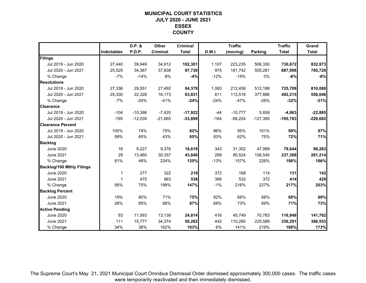## **MUNICIPAL COURT STATISTICSJULY 2020 - JUNE 2021 ESSEX COUNTY**

|                                  |                    | D.P. &    | Other     | <b>Criminal</b> |        | <b>Traffic</b> |                | <b>Traffic</b> | Grand        |
|----------------------------------|--------------------|-----------|-----------|-----------------|--------|----------------|----------------|----------------|--------------|
|                                  | <b>Indictables</b> | P.D.P.    | Criminal  | <b>Total</b>    | D.W.I. | (moving)       | <b>Parking</b> | <b>Total</b>   | <b>Total</b> |
| Filings                          |                    |           |           |                 |        |                |                |                |              |
| Jul 2019 - Jun 2020              | 27,440             | 39,949    | 34,912    | 102,301         | 1,107  | 223,235        | 506,330        | 730,672        | 832,973      |
| Jul 2020 - Jun 2021              | 25,525             | 34,367    | 37,838    | 97,730          | 975    | 181,742        | 505,281        | 687,998        | 785,728      |
| % Change                         | $-7%$              | $-14%$    | 8%        | $-4%$           | $-12%$ | $-19%$         | $0\%$          | $-6%$          | $-6%$        |
| <b>Resolutions</b>               |                    |           |           |                 |        |                |                |                |              |
| Jul 2019 - Jun 2020              | 27,336             | 29,551    | 27,492    | 84,379          | 1,063  | 212.458        | 512,188        | 725,709        | 810,088      |
| Jul 2020 - Jun 2021              | 25,330             | 22,328    | 16,173    | 63,831          | 811    | 113,518        | 377,886        | 492,215        | 556,046      |
| % Change                         | $-7%$              | $-24%$    | $-41%$    | $-24%$          | $-24%$ | $-47%$         | $-26%$         | $-32%$         | $-31%$       |
| <b>Clearance</b>                 |                    |           |           |                 |        |                |                |                |              |
| Jul 2019 - Jun 2020              | $-104$             | $-10,398$ | $-7,420$  | $-17,922$       | $-44$  | $-10,777$      | 5,858          | $-4,963$       | $-22,885$    |
| Jul 2020 - Jun 2021              | $-195$             | $-12,039$ | $-21,665$ | $-33,899$       | $-164$ | $-68,224$      | $-127,395$     | $-195,783$     | $-229,682$   |
| <b>Clearance Percent</b>         |                    |           |           |                 |        |                |                |                |              |
| Jul 2019 - Jun 2020              | 100%               | 74%       | 79%       | 82%             | 96%    | 95%            | 101%           | 99%            | 97%          |
| Jul 2020 - Jun 2021              | 99%                | 65%       | 43%       | 65%             | 83%    | 62%            | 75%            | 72%            | 71%          |
| <b>Backlog</b>                   |                    |           |           |                 |        |                |                |                |              |
| <b>June 2020</b>                 | 16                 | 9,227     | 9,376     | 18,619          | 343    | 31,302         | 47,999         | 79,644         | 98,263       |
| <b>June 2021</b>                 | 29                 | 13,460    | 30,357    | 43,846          | 299    | 80,524         | 156,545        | 237,368        | 281,214      |
| % Change                         | 81%                | 46%       | 224%      | 135%            | $-13%$ | 157%           | 226%           | 198%           | 186%         |
| <b>Backlog/100 Mthly Filings</b> |                    |           |           |                 |        |                |                |                |              |
| <b>June 2020</b>                 | 1                  | 277       | 322       | 218             | 372    | 168            | 114            | 131            | 142          |
| <b>June 2021</b>                 | $\overline{1}$     | 470       | 963       | 538             | 368    | 532            | 372            | 414            | 429          |
| % Change                         | 95%                | 70%       | 199%      | 147%            | $-1%$  | 216%           | 227%           | 217%           | 203%         |
| <b>Backlog Percent</b>           |                    |           |           |                 |        |                |                |                |              |
| <b>June 2020</b>                 | 19%                | 80%       | 71%       | 75%             | 82%    | 68%            | 68%            | 68%            | 69%          |
| <b>June 2021</b>                 | 26%                | 85%       | 88%       | 87%             | 68%    | 73%            | 69%            | 71%            | 73%          |
| <b>Active Pending</b>            |                    |           |           |                 |        |                |                |                |              |
| <b>June 2020</b>                 | 83                 | 11,593    | 13,138    | 24,814          | 416    | 45,749         | 70,783         | 116,948        | 141,762      |
| <b>June 2021</b>                 | 111                | 15,777    | 34,374    | 50,262          | 442    | 110,260        | 225,589        | 336,291        | 386,553      |
| % Change                         | 34%                | 36%       | 162%      | 103%            | 6%     | 141%           | 219%           | 188%           | 173%         |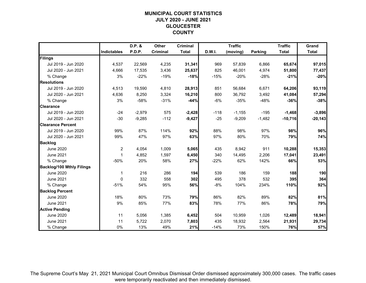## **MUNICIPAL COURT STATISTICSJULY 2020 - JUNE 2021 GLOUCESTER COUNTY**

|                                  |                    | D.P. &   | Other    | <b>Criminal</b> |               | <b>Traffic</b> |                | <b>Traffic</b> | Grand        |
|----------------------------------|--------------------|----------|----------|-----------------|---------------|----------------|----------------|----------------|--------------|
|                                  | <b>Indictables</b> | P.D.P.   | Criminal | <b>Total</b>    | <b>D.W.I.</b> | (moving)       | <b>Parking</b> | <b>Total</b>   | <b>Total</b> |
| Filings                          |                    |          |          |                 |               |                |                |                |              |
| Jul 2019 - Jun 2020              | 4,537              | 22,569   | 4,235    | 31,341          | 969           | 57,839         | 6,866          | 65,674         | 97,015       |
| Jul 2020 - Jun 2021              | 4,666              | 17,535   | 3,436    | 25,637          | 825           | 46,001         | 4,974          | 51,800         | 77,437       |
| % Change                         | 3%                 | $-22%$   | $-19%$   | $-18%$          | $-15%$        | $-20%$         | $-28%$         | $-21%$         | $-20%$       |
| <b>Resolutions</b>               |                    |          |          |                 |               |                |                |                |              |
| Jul 2019 - Jun 2020              | 4,513              | 19,590   | 4,810    | 28,913          | 851           | 56,684         | 6,671          | 64,206         | 93,119       |
| Jul 2020 - Jun 2021              | 4,636              | 8,250    | 3,324    | 16,210          | 800           | 36,792         | 3,492          | 41,084         | 57,294       |
| % Change                         | 3%                 | $-58%$   | $-31%$   | $-44%$          | $-6%$         | $-35%$         | $-48%$         | $-36%$         | $-38%$       |
| <b>Clearance</b>                 |                    |          |          |                 |               |                |                |                |              |
| Jul 2019 - Jun 2020              | $-24$              | $-2,979$ | 575      | $-2,428$        | $-118$        | $-1,155$       | $-195$         | $-1,468$       | $-3,896$     |
| Jul 2020 - Jun 2021              | $-30$              | $-9,285$ | $-112$   | $-9,427$        | $-25$         | $-9,209$       | $-1,482$       | $-10,716$      | $-20,143$    |
| <b>Clearance Percent</b>         |                    |          |          |                 |               |                |                |                |              |
| Jul 2019 - Jun 2020              | 99%                | 87%      | 114%     | 92%             | 88%           | 98%            | 97%            | 98%            | 96%          |
| Jul 2020 - Jun 2021              | 99%                | 47%      | 97%      | 63%             | 97%           | 80%            | 70%            | 79%            | 74%          |
| <b>Backlog</b>                   |                    |          |          |                 |               |                |                |                |              |
| <b>June 2020</b>                 | $\overline{c}$     | 4,054    | 1,009    | 5,065           | 435           | 8,942          | 911            | 10,288         | 15,353       |
| <b>June 2021</b>                 | $\mathbf 1$        | 4,852    | 1,597    | 6,450           | 340           | 14,495         | 2,206          | 17,041         | 23,491       |
| % Change                         | $-50%$             | 20%      | 58%      | 27%             | $-22%$        | 62%            | 142%           | 66%            | 53%          |
| <b>Backlog/100 Mthly Filings</b> |                    |          |          |                 |               |                |                |                |              |
| <b>June 2020</b>                 | $\mathbf 1$        | 216      | 286      | 194             | 539           | 186            | 159            | 188            | 190          |
| <b>June 2021</b>                 | $\mathbf{0}$       | 332      | 558      | 302             | 495           | 378            | 532            | 395            | 364          |
| % Change                         | $-51%$             | 54%      | 95%      | 56%             | $-8%$         | 104%           | 234%           | 110%           | 92%          |
| <b>Backlog Percent</b>           |                    |          |          |                 |               |                |                |                |              |
| <b>June 2020</b>                 | 18%                | 80%      | 73%      | 79%             | 86%           | 82%            | 89%            | 82%            | 81%          |
| <b>June 2021</b>                 | 9%                 | 85%      | 77%      | 83%             | 78%           | 77%            | 86%            | 78%            | 79%          |
| <b>Active Pending</b>            |                    |          |          |                 |               |                |                |                |              |
| <b>June 2020</b>                 | 11                 | 5,056    | 1,385    | 6,452           | 504           | 10,959         | 1,026          | 12,489         | 18,941       |
| <b>June 2021</b>                 | 11                 | 5,722    | 2,070    | 7,803           | 435           | 18,932         | 2,564          | 21,931         | 29,734       |
| % Change                         | 0%                 | 13%      | 49%      | 21%             | $-14%$        | 73%            | 150%           | 76%            | 57%          |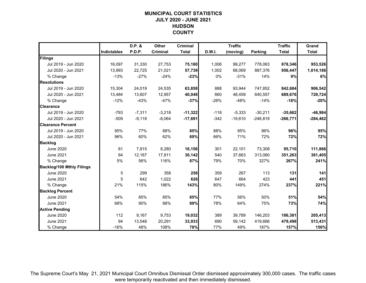## **MUNICIPAL COURT STATISTICSJULY 2020 - JUNE 2021 HUDSON COUNTY**

|                                  |                    | D.P. &   | Other           | <b>Criminal</b> |               | <b>Traffic</b> |                | <b>Traffic</b> | Grand        |
|----------------------------------|--------------------|----------|-----------------|-----------------|---------------|----------------|----------------|----------------|--------------|
|                                  | <b>Indictables</b> | P.D.P.   | <b>Criminal</b> | <b>Total</b>    | <b>D.W.I.</b> | (moving)       | <b>Parking</b> | <b>Total</b>   | <b>Total</b> |
| Filings                          |                    |          |                 |                 |               |                |                |                |              |
| Jul 2019 - Jun 2020              | 16,097             | 31,330   | 27,753          | 75,180          | 1,006         | 99,277         | 778,063        | 878,346        | 953,526      |
| Jul 2020 - Jun 2021              | 13,993             | 22,725   | 21,021          | 57,739          | 1,002         | 68,069         | 887,376        | 956,447        | 1,014,186    |
| % Change                         | $-13%$             | $-27%$   | $-24%$          | $-23%$          | 0%            | $-31%$         | 14%            | 9%             | 6%           |
| <b>Resolutions</b>               |                    |          |                 |                 |               |                |                |                |              |
| Jul 2019 - Jun 2020              | 15,304             | 24,019   | 24,535          | 63,858          | 888           | 93,944         | 747,852        | 842,684        | 906,542      |
| Jul 2020 - Jun 2021              | 13,484             | 13,607   | 12,957          | 40,048          | 660           | 48,459         | 640,557        | 689,676        | 729,724      |
| % Change                         | $-12%$             | $-43%$   | $-47%$          | $-37%$          | $-26%$        | $-48%$         | $-14%$         | $-18%$         | $-20%$       |
| <b>Clearance</b>                 |                    |          |                 |                 |               |                |                |                |              |
| Jul 2019 - Jun 2020              | $-793$             | $-7,311$ | $-3,218$        | $-11,322$       | $-118$        | $-5,333$       | $-30,211$      | $-35,662$      | $-46,984$    |
| Jul 2020 - Jun 2021              | $-509$             | $-9,118$ | $-8,064$        | $-17,691$       | $-342$        | $-19,610$      | $-246,819$     | $-266,771$     | $-284,462$   |
| <b>Clearance Percent</b>         |                    |          |                 |                 |               |                |                |                |              |
| Jul 2019 - Jun 2020              | 95%                | 77%      | 88%             | 85%             | 88%           | 95%            | 96%            | 96%            | 95%          |
| Jul 2020 - Jun 2021              | 96%                | 60%      | 62%             | 69%             | 66%           | 71%            | 72%            | 72%            | 72%          |
| <b>Backlog</b>                   |                    |          |                 |                 |               |                |                |                |              |
| <b>June 2020</b>                 | 61                 | 7,815    | 8,280           | 16,156          | 301           | 22,101         | 73,308         | 95,710         | 111,866      |
| <b>June 2021</b>                 | 64                 | 12,167   | 17,911          | 30,142          | 540           | 37,663         | 313,060        | 351,263        | 381,405      |
| % Change                         | 5%                 | 56%      | 116%            | 87%             | 79%           | 70%            | 327%           | 267%           | 241%         |
| <b>Backlog/100 Mthly Filings</b> |                    |          |                 |                 |               |                |                |                |              |
| <b>June 2020</b>                 | 5                  | 299      | 358             | 258             | 359           | 267            | 113            | 131            | 141          |
| <b>June 2021</b>                 | 5                  | 642      | 1,022           | 626             | 647           | 664            | 423            | 441            | 451          |
| % Change                         | 21%                | 115%     | 186%            | 143%            | 80%           | 149%           | 274%           | 237%           | 221%         |
| <b>Backlog Percent</b>           |                    |          |                 |                 |               |                |                |                |              |
| <b>June 2020</b>                 | 54%                | 85%      | 85%             | 85%             | 77%           | 56%            | 50%            | 51%            | 54%          |
| <b>June 2021</b>                 | 68%                | 90%      | 88%             | 89%             | 78%           | 64%            | 75%            | 73%            | 74%          |
| <b>Active Pending</b>            |                    |          |                 |                 |               |                |                |                |              |
| <b>June 2020</b>                 | 112                | 9,167    | 9,753           | 19,032          | 389           | 39,789         | 146,203        | 186,381        | 205,413      |
| June 2021                        | 94                 | 13,548   | 20,291          | 33,933          | 690           | 59,142         | 419,666        | 479,498        | 513,431      |
| % Change                         | $-16%$             | 48%      | 108%            | 78%             | 77%           | 49%            | 187%           | 157%           | 150%         |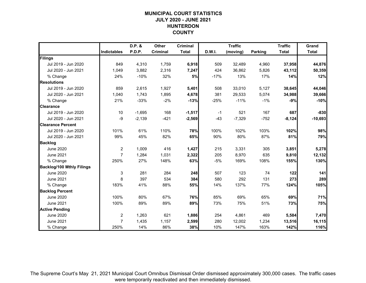#### **MUNICIPAL COURT STATISTICSJULY 2020 - JUNE 2021 HUNTERDON COUNTY**

|                                  |                | D.P. &   | Other    | <b>Criminal</b> |        | <b>Traffic</b> |                | <b>Traffic</b> | Grand        |
|----------------------------------|----------------|----------|----------|-----------------|--------|----------------|----------------|----------------|--------------|
|                                  | Indictables    | P.D.P.   | Criminal | <b>Total</b>    | D.W.I. | (moving)       | <b>Parking</b> | <b>Total</b>   | <b>Total</b> |
| Filings                          |                |          |          |                 |        |                |                |                |              |
| Jul 2019 - Jun 2020              | 849            | 4,310    | 1,759    | 6,918           | 509    | 32,489         | 4,960          | 37,958         | 44,876       |
| Jul 2020 - Jun 2021              | 1,049          | 3,882    | 2,316    | 7,247           | 424    | 36,862         | 5,826          | 43,112         | 50,359       |
| % Change                         | 24%            | $-10%$   | 32%      | 5%              | $-17%$ | 13%            | 17%            | 14%            | 12%          |
| <b>Resolutions</b>               |                |          |          |                 |        |                |                |                |              |
| Jul 2019 - Jun 2020              | 859            | 2,615    | 1,927    | 5,401           | 508    | 33,010         | 5,127          | 38,645         | 44,046       |
| Jul 2020 - Jun 2021              | 1,040          | 1,743    | 1,895    | 4,678           | 381    | 29,533         | 5,074          | 34,988         | 39,666       |
| % Change                         | 21%            | $-33%$   | $-2%$    | $-13%$          | $-25%$ | $-11%$         | $-1%$          | $-9%$          | $-10%$       |
| <b>Clearance</b>                 |                |          |          |                 |        |                |                |                |              |
| Jul 2019 - Jun 2020              | 10             | $-1,695$ | 168      | $-1,517$        | $-1$   | 521            | 167            | 687            | $-830$       |
| Jul 2020 - Jun 2021              | $-9$           | $-2,139$ | $-421$   | $-2,569$        | $-43$  | $-7,329$       | $-752$         | $-8,124$       | $-10,693$    |
| <b>Clearance Percent</b>         |                |          |          |                 |        |                |                |                |              |
| Jul 2019 - Jun 2020              | 101%           | 61%      | 110%     | 78%             | 100%   | 102%           | 103%           | 102%           | 98%          |
| Jul 2020 - Jun 2021              | 99%            | 45%      | 82%      | 65%             | 90%    | 80%            | 87%            | 81%            | 79%          |
| <b>Backlog</b>                   |                |          |          |                 |        |                |                |                |              |
| <b>June 2020</b>                 | $\overline{2}$ | 1,009    | 416      | 1,427           | 215    | 3,331          | 305            | 3,851          | 5,278        |
| <b>June 2021</b>                 | $\overline{7}$ | 1,284    | 1,031    | 2,322           | 205    | 8,970          | 635            | 9,810          | 12,132       |
| % Change                         | 250%           | 27%      | 148%     | 63%             | $-5%$  | 169%           | 108%           | 155%           | 130%         |
| <b>Backlog/100 Mthly Filings</b> |                |          |          |                 |        |                |                |                |              |
| <b>June 2020</b>                 | 3              | 281      | 284      | 248             | 507    | 123            | 74             | 122            | 141          |
| June 2021                        | 8              | 397      | 534      | 384             | 580    | 292            | 131            | 273            | 289          |
| % Change                         | 183%           | 41%      | 88%      | 55%             | 14%    | 137%           | 77%            | 124%           | 105%         |
| <b>Backlog Percent</b>           |                |          |          |                 |        |                |                |                |              |
| <b>June 2020</b>                 | 100%           | 80%      | 67%      | 76%             | 85%    | 69%            | 65%            | 69%            | 71%          |
| <b>June 2021</b>                 | 100%           | 89%      | 89%      | 89%             | 73%    | 75%            | 51%            | 73%            | 75%          |
| <b>Active Pending</b>            |                |          |          |                 |        |                |                |                |              |
| <b>June 2020</b>                 | $\overline{c}$ | 1,263    | 621      | 1,886           | 254    | 4,861          | 469            | 5,584          | 7,470        |
| <b>June 2021</b>                 | $\overline{7}$ | 1,435    | 1,157    | 2,599           | 280    | 12,002         | 1,234          | 13,516         | 16,115       |
| % Change                         | 250%           | 14%      | 86%      | 38%             | 10%    | 147%           | 163%           | 142%           | 116%         |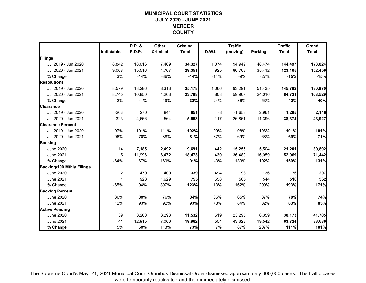## **MUNICIPAL COURT STATISTICSJULY 2020 - JUNE 2021 MERCER COUNTY**

|                                  |             | D.P. &   | Other           | <b>Criminal</b> |               | <b>Traffic</b> |                | <b>Traffic</b> | Grand        |
|----------------------------------|-------------|----------|-----------------|-----------------|---------------|----------------|----------------|----------------|--------------|
|                                  | Indictables | P.D.P.   | <b>Criminal</b> | <b>Total</b>    | <b>D.W.I.</b> | (moving)       | <b>Parking</b> | <b>Total</b>   | <b>Total</b> |
| Filings                          |             |          |                 |                 |               |                |                |                |              |
| Jul 2019 - Jun 2020              | 8,842       | 18,016   | 7,469           | 34,327          | 1,074         | 94,949         | 48,474         | 144,497        | 178,824      |
| Jul 2020 - Jun 2021              | 9,068       | 15,516   | 4,767           | 29,351          | 925           | 86,768         | 35,412         | 123,105        | 152,456      |
| % Change                         | 3%          | $-14%$   | $-36%$          | $-14%$          | $-14%$        | $-9%$          | $-27%$         | $-15%$         | $-15%$       |
| <b>Resolutions</b>               |             |          |                 |                 |               |                |                |                |              |
| Jul 2019 - Jun 2020              | 8.579       | 18,286   | 8,313           | 35,178          | 1,066         | 93,291         | 51,435         | 145,792        | 180,970      |
| Jul 2020 - Jun 2021              | 8,745       | 10,850   | 4,203           | 23,798          | 808           | 59,907         | 24,016         | 84,731         | 108,529      |
| % Change                         | 2%          | $-41%$   | $-49%$          | $-32%$          | $-24%$        | $-36%$         | $-53%$         | $-42%$         | $-40%$       |
| <b>Clearance</b>                 |             |          |                 |                 |               |                |                |                |              |
| Jul 2019 - Jun 2020              | $-263$      | 270      | 844             | 851             | -8            | $-1,658$       | 2,961          | 1,295          | 2,146        |
| Jul 2020 - Jun 2021              | $-323$      | $-4,666$ | $-564$          | $-5,553$        | $-117$        | $-26,861$      | $-11,396$      | $-38,374$      | $-43,927$    |
| <b>Clearance Percent</b>         |             |          |                 |                 |               |                |                |                |              |
| Jul 2019 - Jun 2020              | 97%         | 101%     | 111%            | 102%            | 99%           | 98%            | 106%           | 101%           | 101%         |
| Jul 2020 - Jun 2021              | 96%         | 70%      | 88%             | 81%             | 87%           | 69%            | 68%            | 69%            | 71%          |
| <b>Backlog</b>                   |             |          |                 |                 |               |                |                |                |              |
| <b>June 2020</b>                 | 14          | 7,185    | 2,492           | 9,691           | 442           | 15,255         | 5,504          | 21,201         | 30,892       |
| <b>June 2021</b>                 | 5           | 11,996   | 6,472           | 18,473          | 430           | 36,480         | 16,059         | 52,969         | 71,442       |
| % Change                         | $-64%$      | 67%      | 160%            | 91%             | $-3%$         | 139%           | 192%           | 150%           | 131%         |
| <b>Backlog/100 Mthly Filings</b> |             |          |                 |                 |               |                |                |                |              |
| <b>June 2020</b>                 | 2           | 479      | 400             | 339             | 494           | 193            | 136            | 176            | 207          |
| <b>June 2021</b>                 | 1           | 928      | 1,629           | 755             | 558           | 505            | 544            | 516            | 562          |
| % Change                         | $-65%$      | 94%      | 307%            | 123%            | 13%           | 162%           | 299%           | 193%           | 171%         |
| <b>Backlog Percent</b>           |             |          |                 |                 |               |                |                |                |              |
| <b>June 2020</b>                 | 36%         | 88%      | 76%             | 84%             | 85%           | 65%            | 87%            | 70%            | 74%          |
| <b>June 2021</b>                 | 12%         | 93%      | 92%             | 93%             | 78%           | 84%            | 82%            | 83%            | 85%          |
| <b>Active Pending</b>            |             |          |                 |                 |               |                |                |                |              |
| <b>June 2020</b>                 | 39          | 8,200    | 3,293           | 11,532          | 519           | 23,295         | 6,359          | 30,173         | 41,705       |
| <b>June 2021</b>                 | 41          | 12,915   | 7,006           | 19,962          | 554           | 43,628         | 19,542         | 63,724         | 83,686       |
| % Change                         | 5%          | 58%      | 113%            | 73%             | 7%            | 87%            | 207%           | 111%           | 101%         |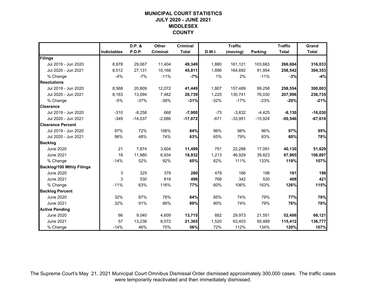## **MUNICIPAL COURT STATISTICSJULY 2020 - JUNE 2021 MIDDLESEX COUNTY**

|                                  |                    | D.P. &    | Other    | <b>Criminal</b> |        | <b>Traffic</b> |                | <b>Traffic</b> | Grand        |
|----------------------------------|--------------------|-----------|----------|-----------------|--------|----------------|----------------|----------------|--------------|
|                                  | <b>Indictables</b> | P.D.P.    | Criminal | <b>Total</b>    | D.W.I. | (moving)       | <b>Parking</b> | <b>Total</b>   | <b>Total</b> |
| Filings                          |                    |           |          |                 |        |                |                |                |              |
| Jul 2019 - Jun 2020              | 8,878              | 29,067    | 11,404   | 49,349          | 1,880  | 161,121        | 103,683        | 266,684        | 316,033      |
| Jul 2020 - Jun 2021              | 8,512              | 27,131    | 10,168   | 45,811          | 1,896  | 164,692        | 91,954         | 258,542        | 304,353      |
| % Change                         | $-4%$              | $-7%$     | $-11%$   | $-7%$           | 1%     | 2%             | $-11%$         | $-3%$          | $-4%$        |
| <b>Resolutions</b>               |                    |           |          |                 |        |                |                |                |              |
| Jul 2019 - Jun 2020              | 8,568              | 20,809    | 12,072   | 41,449          | 1,807  | 157,489        | 99,258         | 258,554        | 300,003      |
| Jul 2020 - Jun 2021              | 8,163              | 13,094    | 7,482    | 28,739          | 1,225  | 130,741        | 76,030         | 207,996        | 236,735      |
| % Change                         | $-5%$              | $-37%$    | $-38%$   | $-31%$          | $-32%$ | $-17%$         | $-23%$         | $-20%$         | $-21%$       |
| <b>Clearance</b>                 |                    |           |          |                 |        |                |                |                |              |
| Jul 2019 - Jun 2020              | $-310$             | $-8,258$  | 668      | $-7,900$        | $-73$  | $-3,632$       | $-4,425$       | $-8,130$       | $-16,030$    |
| Jul 2020 - Jun 2021              | $-349$             | $-14,037$ | $-2,686$ | $-17,072$       | $-671$ | $-33,951$      | $-15,924$      | $-50,546$      | $-67,618$    |
| <b>Clearance Percent</b>         |                    |           |          |                 |        |                |                |                |              |
| Jul 2019 - Jun 2020              | 97%                | 72%       | 106%     | 84%             | 96%    | 98%            | 96%            | 97%            | 95%          |
| Jul 2020 - Jun 2021              | 96%                | 48%       | 74%      | 63%             | 65%    | 79%            | 83%            | 80%            | 78%          |
| <b>Backlog</b>                   |                    |           |          |                 |        |                |                |                |              |
| <b>June 2020</b>                 | 21                 | 7,874     | 3,604    | 11,499          | 751    | 22,288         | 17,091         | 40,130         | 51,629       |
| <b>June 2021</b>                 | 18                 | 11,980    | 6,934    | 18,932          | 1,213  | 46,929         | 39,823         | 87,965         | 106,897      |
| % Change                         | $-14%$             | 52%       | 92%      | 65%             | 62%    | 111%           | 133%           | 119%           | 107%         |
| <b>Backlog/100 Mthly Filings</b> |                    |           |          |                 |        |                |                |                |              |
| <b>June 2020</b>                 | 3                  | 325       | 379      | 280             | 479    | 166            | 198            | 181            | 196          |
| <b>June 2021</b>                 | 3                  | 530       | 818      | 496             | 768    | 342            | 520            | 408            | 421          |
| % Change                         | $-11%$             | 63%       | 116%     | 77%             | 60%    | 106%           | 163%           | 126%           | 115%         |
| <b>Backlog Percent</b>           |                    |           |          |                 |        |                |                |                |              |
| <b>June 2020</b>                 | 32%                | 87%       | 78%      | 84%             | 85%    | 74%            | 79%            | 77%            | 78%          |
| <b>June 2021</b>                 | 32%                | 91%       | 86%      | 89%             | 80%    | 74%            | 79%            | 76%            | 78%          |
| <b>Active Pending</b>            |                    |           |          |                 |        |                |                |                |              |
| <b>June 2020</b>                 | 66                 | 9,040     | 4,609    | 13,715          | 882    | 29,973         | 21,551         | 52,406         | 66,121       |
| June 2021                        | 57                 | 13,236    | 8,072    | 21,365          | 1,520  | 63,403         | 50,489         | 115,412        | 136,777      |
| % Change                         | $-14%$             | 46%       | 75%      | 56%             | 72%    | 112%           | 134%           | 120%           | 107%         |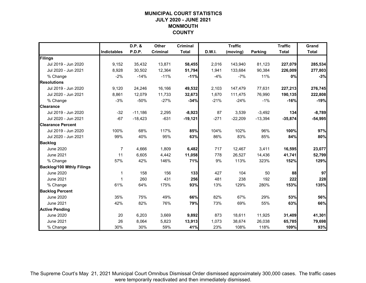## **MUNICIPAL COURT STATISTICSJULY 2020 - JUNE 2021 MONMOUTH COUNTY**

|                                  |                    | D.P. &    | Other    | <b>Criminal</b> |        | <b>Traffic</b> |                | <b>Traffic</b> | Grand        |
|----------------------------------|--------------------|-----------|----------|-----------------|--------|----------------|----------------|----------------|--------------|
|                                  | <b>Indictables</b> | P.D.P.    | Criminal | <b>Total</b>    | D.W.I. | (moving)       | <b>Parking</b> | <b>Total</b>   | <b>Total</b> |
| Filings                          |                    |           |          |                 |        |                |                |                |              |
| Jul 2019 - Jun 2020              | 9,152              | 35,432    | 13,871   | 58,455          | 2,016  | 143,940        | 81,123         | 227,079        | 285,534      |
| Jul 2020 - Jun 2021              | 8,928              | 30,502    | 12,364   | 51,794          | 1,941  | 133,684        | 90,384         | 226,009        | 277,803      |
| % Change                         | $-2%$              | $-14%$    | $-11%$   | $-11%$          | $-4%$  | $-7%$          | 11%            | 0%             | $-3%$        |
| <b>Resolutions</b>               |                    |           |          |                 |        |                |                |                |              |
| Jul 2019 - Jun 2020              | 9,120              | 24,246    | 16,166   | 49,532          | 2,103  | 147,479        | 77,631         | 227,213        | 276,745      |
| Jul 2020 - Jun 2021              | 8,861              | 12,079    | 11,733   | 32,673          | 1,670  | 111,475        | 76,990         | 190,135        | 222,808      |
| % Change                         | $-3%$              | $-50%$    | $-27%$   | $-34%$          | $-21%$ | $-24%$         | $-1%$          | $-16%$         | $-19%$       |
| <b>Clearance</b>                 |                    |           |          |                 |        |                |                |                |              |
| Jul 2019 - Jun 2020              | $-32$              | $-11,186$ | 2,295    | $-8,923$        | 87     | 3,539          | $-3,492$       | 134            | $-8,789$     |
| Jul 2020 - Jun 2021              | $-67$              | $-18,423$ | $-631$   | $-19,121$       | $-271$ | $-22,209$      | $-13,394$      | $-35,874$      | $-54,995$    |
| <b>Clearance Percent</b>         |                    |           |          |                 |        |                |                |                |              |
| Jul 2019 - Jun 2020              | 100%               | 68%       | 117%     | 85%             | 104%   | 102%           | 96%            | 100%           | 97%          |
| Jul 2020 - Jun 2021              | 99%                | 40%       | 95%      | 63%             | 86%    | 83%            | 85%            | 84%            | 80%          |
| <b>Backlog</b>                   |                    |           |          |                 |        |                |                |                |              |
| <b>June 2020</b>                 | 7                  | 4,666     | 1,809    | 6,482           | 717    | 12,467         | 3,411          | 16,595         | 23,077       |
| <b>June 2021</b>                 | 11                 | 6,605     | 4,442    | 11,058          | 778    | 26,527         | 14,436         | 41,741         | 52,799       |
| % Change                         | 57%                | 42%       | 146%     | 71%             | 9%     | 113%           | 323%           | 152%           | 129%         |
| <b>Backlog/100 Mthly Filings</b> |                    |           |          |                 |        |                |                |                |              |
| <b>June 2020</b>                 | 1                  | 158       | 156      | 133             | 427    | 104            | 50             | 88             | 97           |
| <b>June 2021</b>                 | 1                  | 260       | 431      | 256             | 481    | 238            | 192            | 222            | 228          |
| % Change                         | 61%                | 64%       | 175%     | 93%             | 13%    | 129%           | 280%           | 153%           | 135%         |
| <b>Backlog Percent</b>           |                    |           |          |                 |        |                |                |                |              |
| <b>June 2020</b>                 | 35%                | 75%       | 49%      | 66%             | 82%    | 67%            | 29%            | 53%            | 56%          |
| <b>June 2021</b>                 | 42%                | 82%       | 76%      | 79%             | 73%    | 69%            | 55%            | 63%            | 66%          |
| <b>Active Pending</b>            |                    |           |          |                 |        |                |                |                |              |
| <b>June 2020</b>                 | 20                 | 6,203     | 3,669    | 9,892           | 873    | 18,611         | 11,925         | 31,409         | 41,301       |
| June 2021                        | 26                 | 8,064     | 5,823    | 13,913          | 1,073  | 38,674         | 26,038         | 65,785         | 79,698       |
| % Change                         | 30%                | 30%       | 59%      | 41%             | 23%    | 108%           | 118%           | 109%           | 93%          |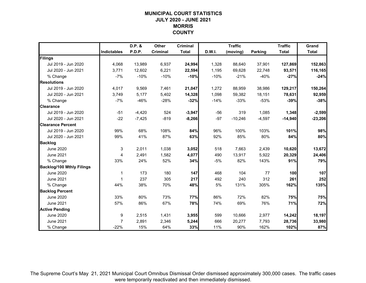## **MUNICIPAL COURT STATISTICSJULY 2020 - JUNE 2021 MORRIS COUNTY**

|                                  |                    | D.P. &   | Other    | <b>Criminal</b> |        | <b>Traffic</b> |                | <b>Traffic</b> | Grand        |
|----------------------------------|--------------------|----------|----------|-----------------|--------|----------------|----------------|----------------|--------------|
|                                  | <b>Indictables</b> | P.D.P.   | Criminal | <b>Total</b>    | D.W.I. | (moving)       | <b>Parking</b> | <b>Total</b>   | <b>Total</b> |
| Filings                          |                    |          |          |                 |        |                |                |                |              |
| Jul 2019 - Jun 2020              | 4,068              | 13,989   | 6,937    | 24,994          | 1,328  | 88,640         | 37,901         | 127,869        | 152,863      |
| Jul 2020 - Jun 2021              | 3,771              | 12,602   | 6,221    | 22,594          | 1,195  | 69,628         | 22,748         | 93,571         | 116,165      |
| % Change                         | $-7%$              | $-10%$   | $-10%$   | $-10%$          | $-10%$ | $-21%$         | $-40%$         | $-27%$         | $-24%$       |
| <b>Resolutions</b>               |                    |          |          |                 |        |                |                |                |              |
| Jul 2019 - Jun 2020              | 4,017              | 9,569    | 7,461    | 21,047          | 1,272  | 88,959         | 38,986         | 129,217        | 150,264      |
| Jul 2020 - Jun 2021              | 3,749              | 5,177    | 5,402    | 14,328          | 1,098  | 59,382         | 18,151         | 78,631         | 92,959       |
| % Change                         | $-7%$              | $-46%$   | $-28%$   | $-32%$          | $-14%$ | $-33%$         | $-53%$         | $-39%$         | $-38%$       |
| <b>Clearance</b>                 |                    |          |          |                 |        |                |                |                |              |
| Jul 2019 - Jun 2020              | $-51$              | $-4,420$ | 524      | $-3,947$        | $-56$  | 319            | 1,085          | 1,348          | $-2,599$     |
| Jul 2020 - Jun 2021              | $-22$              | $-7,425$ | $-819$   | $-8,266$        | $-97$  | $-10,246$      | $-4,597$       | $-14,940$      | $-23,206$    |
| <b>Clearance Percent</b>         |                    |          |          |                 |        |                |                |                |              |
| Jul 2019 - Jun 2020              | 99%                | 68%      | 108%     | 84%             | 96%    | 100%           | 103%           | 101%           | 98%          |
| Jul 2020 - Jun 2021              | 99%                | 41%      | 87%      | 63%             | 92%    | 85%            | 80%            | 84%            | 80%          |
| <b>Backlog</b>                   |                    |          |          |                 |        |                |                |                |              |
| <b>June 2020</b>                 | 3                  | 2,011    | 1,038    | 3,052           | 518    | 7,663          | 2,439          | 10,620         | 13,672       |
| <b>June 2021</b>                 | 4                  | 2,491    | 1,582    | 4,077           | 490    | 13,917         | 5,922          | 20,329         | 24,406       |
| % Change                         | 33%                | 24%      | 52%      | 34%             | $-5%$  | 82%            | 143%           | 91%            | 79%          |
| <b>Backlog/100 Mthly Filings</b> |                    |          |          |                 |        |                |                |                |              |
| <b>June 2020</b>                 | 1                  | 173      | 180      | 147             | 468    | 104            | 77             | 100            | 107          |
| <b>June 2021</b>                 | 1                  | 237      | 305      | 217             | 492    | 240            | 312            | 261            | 252          |
| % Change                         | 44%                | 38%      | 70%      | 48%             | 5%     | 131%           | 305%           | 162%           | 135%         |
| <b>Backlog Percent</b>           |                    |          |          |                 |        |                |                |                |              |
| <b>June 2020</b>                 | 33%                | 80%      | 73%      | 77%             | 86%    | 72%            | 82%            | 75%            | 75%          |
| <b>June 2021</b>                 | 57%                | 86%      | 67%      | 78%             | 74%    | 69%            | 76%            | 71%            | 72%          |
| <b>Active Pending</b>            |                    |          |          |                 |        |                |                |                |              |
| <b>June 2020</b>                 | 9                  | 2,515    | 1,431    | 3,955           | 599    | 10,666         | 2,977          | 14,242         | 18,197       |
| <b>June 2021</b>                 | $\overline{7}$     | 2,891    | 2,346    | 5,244           | 666    | 20,277         | 7,793          | 28,736         | 33,980       |
| % Change                         | $-22%$             | 15%      | 64%      | 33%             | 11%    | 90%            | 162%           | 102%           | 87%          |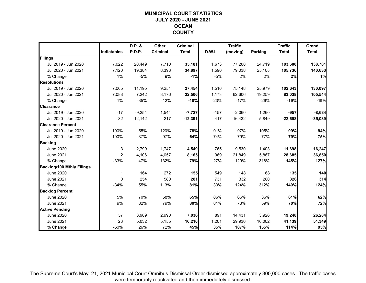## **MUNICIPAL COURT STATISTICSJULY 2020 - JUNE 2021 OCEAN COUNTY**

|                                  |                | D.P. &        | Other    | <b>Criminal</b> |               | <b>Traffic</b> |                | <b>Traffic</b> | Grand        |
|----------------------------------|----------------|---------------|----------|-----------------|---------------|----------------|----------------|----------------|--------------|
|                                  | Indictables    | <b>P.D.P.</b> | Criminal | <b>Total</b>    | <b>D.W.I.</b> | (moving)       | <b>Parking</b> | <b>Total</b>   | <b>Total</b> |
| Filings                          |                |               |          |                 |               |                |                |                |              |
| Jul 2019 - Jun 2020              | 7,022          | 20,449        | 7,710    | 35,181          | 1,673         | 77,208         | 24,719         | 103,600        | 138,781      |
| Jul 2020 - Jun 2021              | 7,120          | 19,384        | 8,393    | 34,897          | 1,590         | 79,038         | 25,108         | 105,736        | 140,633      |
| % Change                         | 1%             | $-5%$         | 9%       | $-1%$           | $-5%$         | 2%             | 2%             | 2%             | 1%           |
| <b>Resolutions</b>               |                |               |          |                 |               |                |                |                |              |
| Jul 2019 - Jun 2020              | 7,005          | 11,195        | 9,254    | 27,454          | 1,516         | 75,148         | 25,979         | 102,643        | 130,097      |
| Jul 2020 - Jun 2021              | 7,088          | 7,242         | 8,176    | 22,506          | 1,173         | 62,606         | 19,259         | 83,038         | 105,544      |
| % Change                         | $1\%$          | $-35%$        | $-12%$   | $-18%$          | $-23%$        | $-17%$         | $-26%$         | $-19%$         | $-19%$       |
| <b>Clearance</b>                 |                |               |          |                 |               |                |                |                |              |
| Jul 2019 - Jun 2020              | $-17$          | $-9,254$      | 1,544    | $-7,727$        | $-157$        | $-2,060$       | 1,260          | $-957$         | $-8,684$     |
| Jul 2020 - Jun 2021              | $-32$          | $-12,142$     | $-217$   | $-12,391$       | $-417$        | $-16,432$      | $-5,849$       | $-22,698$      | $-35,089$    |
| <b>Clearance Percent</b>         |                |               |          |                 |               |                |                |                |              |
| Jul 2019 - Jun 2020              | 100%           | 55%           | 120%     | 78%             | 91%           | 97%            | 105%           | 99%            | 94%          |
| Jul 2020 - Jun 2021              | 100%           | 37%           | 97%      | 64%             | 74%           | 79%            | 77%            | 79%            | 75%          |
| <b>Backlog</b>                   |                |               |          |                 |               |                |                |                |              |
| June 2020                        | 3              | 2,799         | 1,747    | 4,549           | 765           | 9,530          | 1,403          | 11,698         | 16,247       |
| <b>June 2021</b>                 | $\overline{2}$ | 4,106         | 4,057    | 8,165           | 969           | 21,849         | 5,867          | 28,685         | 36,850       |
| % Change                         | $-33%$         | 47%           | 132%     | 79%             | 27%           | 129%           | 318%           | 145%           | 127%         |
| <b>Backlog/100 Mthly Filings</b> |                |               |          |                 |               |                |                |                |              |
| <b>June 2020</b>                 | 1              | 164           | 272      | 155             | 549           | 148            | 68             | 135            | 140          |
| <b>June 2021</b>                 | $\mathbf{0}$   | 254           | 580      | 281             | 731           | 332            | 280            | 326            | 314          |
| % Change                         | $-34%$         | 55%           | 113%     | 81%             | 33%           | 124%           | 312%           | 140%           | 124%         |
| <b>Backlog Percent</b>           |                |               |          |                 |               |                |                |                |              |
| <b>June 2020</b>                 | 5%             | 70%           | 58%      | 65%             | 86%           | 66%            | 36%            | 61%            | 62%          |
| <b>June 2021</b>                 | 9%             | 82%           | 79%      | 80%             | 81%           | 73%            | 59%            | 70%            | 72%          |
| <b>Active Pending</b>            |                |               |          |                 |               |                |                |                |              |
| <b>June 2020</b>                 | 57             | 3,989         | 2,990    | 7,036           | 891           | 14,431         | 3,926          | 19,248         | 26,284       |
| <b>June 2021</b>                 | 23             | 5,032         | 5,155    | 10,210          | 1,201         | 29,936         | 10,002         | 41,139         | 51,349       |
| % Change                         | $-60%$         | 26%           | 72%      | 45%             | 35%           | 107%           | 155%           | 114%           | 95%          |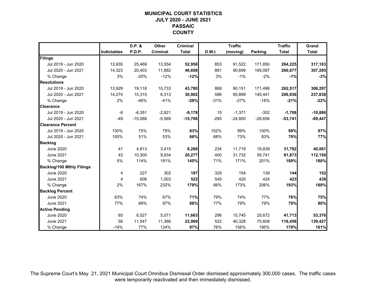## **MUNICIPAL COURT STATISTICSJULY 2020 - JUNE 2021 PASSAIC COUNTY**

|                                  |                    | D.P. &    | Other    | <b>Criminal</b> |        | <b>Traffic</b> |                | <b>Traffic</b> | Grand        |
|----------------------------------|--------------------|-----------|----------|-----------------|--------|----------------|----------------|----------------|--------------|
|                                  | <b>Indictables</b> | P.D.P.    | Criminal | <b>Total</b>    | D.W.I. | (moving)       | <b>Parking</b> | <b>Total</b>   | <b>Total</b> |
| Filings                          |                    |           |          |                 |        |                |                |                |              |
| Jul 2019 - Jun 2020              | 13,935             | 25,469    | 13,554   | 52,958          | 853    | 91,522         | 171,850        | 264,225        | 317,183      |
| Jul 2020 - Jun 2021              | 14,323             | 20,403    | 11,882   | 46,608          | 881    | 90,699         | 169,097        | 260,677        | 307,285      |
| % Change                         | 3%                 | $-20%$    | $-12%$   | $-12%$          | 3%     | $-1%$          | $-2%$          | $-1%$          | $-3%$        |
| <b>Resolutions</b>               |                    |           |          |                 |        |                |                |                |              |
| Jul 2019 - Jun 2020              | 13,929             | 19,118    | 10,733   | 43,780          | 868    | 90,151         | 171,498        | 262,517        | 306,297      |
| Jul 2020 - Jun 2021              | 14,274             | 10,315    | 6,313    | 30,902          | 596    | 65,899         | 140,441        | 206,936        | 237,838      |
| % Change                         | 2%                 | $-46%$    | $-41%$   | $-29%$          | $-31%$ | $-27%$         | $-18%$         | $-21%$         | $-22%$       |
| <b>Clearance</b>                 |                    |           |          |                 |        |                |                |                |              |
| Jul 2019 - Jun 2020              | $-6$               | $-6,351$  | $-2,821$ | $-9,178$        | 15     | $-1,371$       | $-352$         | $-1,708$       | $-10,886$    |
| Jul 2020 - Jun 2021              | $-49$              | $-10,088$ | $-5,569$ | $-15,706$       | $-285$ | $-24,800$      | $-28,656$      | $-53,741$      | $-69,447$    |
| <b>Clearance Percent</b>         |                    |           |          |                 |        |                |                |                |              |
| Jul 2019 - Jun 2020              | 100%               | 75%       | 79%      | 83%             | 102%   | 99%            | 100%           | 99%            | 97%          |
| Jul 2020 - Jun 2021              | 100%               | 51%       | 53%      | 66%             | 68%    | 73%            | 83%            | 79%            | 77%          |
| <b>Backlog</b>                   |                    |           |          |                 |        |                |                |                |              |
| <b>June 2020</b>                 | 41                 | 4,813     | 3,415    | 8,269           | 234    | 11,719         | 19,839         | 31,792         | 40,061       |
| <b>June 2021</b>                 | 43                 | 10,300    | 9,934    | 20,277          | 400    | 31,732         | 59,741         | 91,873         | 112,150      |
| % Change                         | 5%                 | 114%      | 191%     | 145%            | 71%    | 171%           | 201%           | 189%           | 180%         |
| <b>Backlog/100 Mthly Filings</b> |                    |           |          |                 |        |                |                |                |              |
| <b>June 2020</b>                 | 4                  | 227       | 302      | 187             | 329    | 154            | 139            | 144            | 152          |
| <b>June 2021</b>                 | 4                  | 606       | 1,003    | 522             | 545    | 420            | 424            | 423            | 438          |
| % Change                         | 2%                 | 167%      | 232%     | 179%            | 66%    | 173%           | 206%           | 193%           | 189%         |
| <b>Backlog Percent</b>           |                    |           |          |                 |        |                |                |                |              |
| June 2020                        | 63%                | 74%       | 67%      | 71%             | 79%    | 74%            | 77%            | 76%            | 75%          |
| <b>June 2021</b>                 | 77%                | 89%       | 87%      | 88%             | 77%    | 79%            | 79%            | 79%            | 80%          |
| <b>Active Pending</b>            |                    |           |          |                 |        |                |                |                |              |
| <b>June 2020</b>                 | 65                 | 6,527     | 5,071    | 11,663          | 296    | 15,745         | 25,672         | 41,713         | 53,376       |
| June 2021                        | 56                 | 11,547    | 11,366   | 22,969          | 522    | 40,328         | 75,608         | 116,458        | 139,427      |
| % Change                         | $-14%$             | 77%       | 124%     | 97%             | 76%    | 156%           | 195%           | 179%           | 161%         |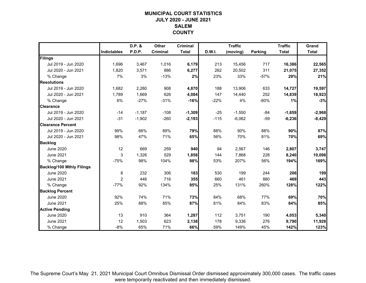## **MUNICIPAL COURT STATISTICSJULY 2020 - JUNE 2021 SALEMCOUNTY**

|                                  |                | D.P. &   | <b>Other</b> | <b>Criminal</b> |               | <b>Traffic</b> |                | <b>Traffic</b> | Grand        |
|----------------------------------|----------------|----------|--------------|-----------------|---------------|----------------|----------------|----------------|--------------|
|                                  | Indictables    | P.D.P.   | Criminal     | <b>Total</b>    | <b>D.W.I.</b> | (moving)       | <b>Parking</b> | <b>Total</b>   | <b>Total</b> |
| Filings                          |                |          |              |                 |               |                |                |                |              |
| Jul 2019 - Jun 2020              | 1,696          | 3,467    | 1,016        | 6,179           | 213           | 15,456         | 717            | 16,386         | 22,565       |
| Jul 2020 - Jun 2021              | 1,820          | 3,571    | 886          | 6,277           | 262           | 20,502         | 311            | 21,075         | 27,352       |
| % Change                         | 7%             | 3%       | $-13%$       | 2%              | 23%           | 33%            | $-57%$         | 29%            | 21%          |
| <b>Resolutions</b>               |                |          |              |                 |               |                |                |                |              |
| Jul 2019 - Jun 2020              | 1,682          | 2,280    | 908          | 4,870           | 188           | 13,906         | 633            | 14,727         | 19,597       |
| Jul 2020 - Jun 2021              | 1,789          | 1,669    | 626          | 4,084           | 147           | 14,440         | 252            | 14,839         | 18,923       |
| % Change                         | 6%             | $-27%$   | $-31%$       | $-16%$          | $-22%$        | 4%             | $-60%$         | 1%             | $-3%$        |
| <b>Clearance</b>                 |                |          |              |                 |               |                |                |                |              |
| Jul 2019 - Jun 2020              | $-14$          | $-1,187$ | $-108$       | $-1,309$        | $-25$         | $-1,550$       | $-84$          | $-1,659$       | $-2,968$     |
| Jul 2020 - Jun 2021              | $-31$          | $-1,902$ | $-260$       | $-2,193$        | $-115$        | $-6,062$       | $-59$          | $-6,236$       | $-8,429$     |
| <b>Clearance Percent</b>         |                |          |              |                 |               |                |                |                |              |
| Jul 2019 - Jun 2020              | 99%            | 66%      | 89%          | 79%             | 88%           | 90%            | 88%            | 90%            | 87%          |
| Jul 2020 - Jun 2021              | 98%            | 47%      | 71%          | 65%             | 56%           | 70%            | 81%            | 70%            | 69%          |
| <b>Backlog</b>                   |                |          |              |                 |               |                |                |                |              |
| <b>June 2020</b>                 | 12             | 669      | 259          | 940             | 94            | 2,567          | 146            | 2,807          | 3,747        |
| <b>June 2021</b>                 | 3              | 1,326    | 529          | 1,858           | 144           | 7,868          | 228            | 8,240          | 10,098       |
| % Change                         | $-75%$         | 98%      | 104%         | 98%             | 53%           | 207%           | 56%            | 194%           | 169%         |
| <b>Backlog/100 Mthly Filings</b> |                |          |              |                 |               |                |                |                |              |
| <b>June 2020</b>                 | 8              | 232      | 306          | 183             | 530           | 199            | 244            | 206            | 199          |
| <b>June 2021</b>                 | $\overline{2}$ | 446      | 716          | 355             | 660           | 461            | 880            | 469            | 443          |
| % Change                         | $-77%$         | 92%      | 134%         | 95%             | 25%           | 131%           | 260%           | 128%           | 122%         |
| <b>Backlog Percent</b>           |                |          |              |                 |               |                |                |                |              |
| <b>June 2020</b>                 | 92%            | 74%      | 71%          | 73%             | 84%           | 68%            | 77%            | 69%            | 70%          |
| <b>June 2021</b>                 | 25%            | 88%      | 85%          | 87%             | 81%           | 84%            | 83%            | 84%            | 85%          |
| <b>Active Pending</b>            |                |          |              |                 |               |                |                |                |              |
| <b>June 2020</b>                 | 13             | 910      | 364          | 1,287           | 112           | 3,751          | 190            | 4,053          | 5,340        |
| <b>June 2021</b>                 | 12             | 1,503    | 623          | 2,138           | 178           | 9,336          | 276            | 9,790          | 11,928       |
| % Change                         | $-8%$          | 65%      | 71%          | 66%             | 59%           | 149%           | 45%            | 142%           | 123%         |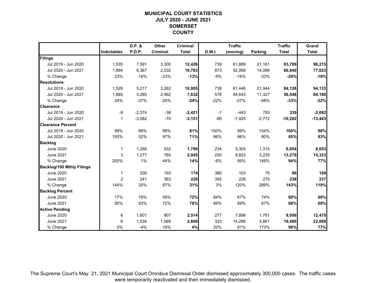## **MUNICIPAL COURT STATISTICSJULY 2020 - JUNE 2021 SOMERSET COUNTY**

|                                  |                | D.P. &   | Other    | <b>Criminal</b> |        | <b>Traffic</b> |                | <b>Traffic</b> | Grand        |
|----------------------------------|----------------|----------|----------|-----------------|--------|----------------|----------------|----------------|--------------|
|                                  | Indictables    | P.D.P.   | Criminal | <b>Total</b>    | D.W.I. | (moving)       | <b>Parking</b> | <b>Total</b>   | <b>Total</b> |
| Filings                          |                |          |          |                 |        |                |                |                |              |
| Jul 2019 - Jun 2020              | 1,535          | 7,591    | 3,300    | 12,426          | 739    | 61,889         | 21,161         | 83,789         | 96,215       |
| Jul 2020 - Jun 2021              | 1,884          | 6,367    | 2,532    | 10,783          | 673    | 52,068         | 14,099         | 66,840         | 77,623       |
| % Change                         | 23%            | $-16%$   | $-23%$   | $-13%$          | $-9%$  | $-16%$         | $-33%$         | $-20%$         | $-19%$       |
| <b>Resolutions</b>               |                |          |          |                 |        |                |                |                |              |
| Jul 2019 - Jun 2020              | 1,526          | 5,217    | 3,262    | 10,005          | 738    | 61,446         | 21,944         | 84,128         | 94,133       |
| Jul 2020 - Jun 2021              | 1,885          | 3,285    | 2,462    | 7,632           | 578    | 44,643         | 11,327         | 56,548         | 64,180       |
| % Change                         | 24%            | $-37%$   | $-25%$   | $-24%$          | $-22%$ | $-27%$         | $-48%$         | $-33%$         | $-32%$       |
| <b>Clearance</b>                 |                |          |          |                 |        |                |                |                |              |
| Jul 2019 - Jun 2020              | $-9$           | $-2,374$ | $-38$    | $-2,421$        | $-1$   | $-443$         | 783            | 339            | $-2,082$     |
| Jul 2020 - Jun 2021              | $\mathbf{1}$   | $-3,082$ | $-70$    | $-3,151$        | $-95$  | $-7,425$       | $-2,772$       | $-10,292$      | $-13,443$    |
| <b>Clearance Percent</b>         |                |          |          |                 |        |                |                |                |              |
| Jul 2019 - Jun 2020              | 99%            | 69%      | 99%      | 81%             | 100%   | 99%            | 104%           | 100%           | 98%          |
| Jul 2020 - Jun 2021              | 100%           | 52%      | 97%      | 71%             | 86%    | 86%            | 80%            | 85%            | 83%          |
| <b>Backlog</b>                   |                |          |          |                 |        |                |                |                |              |
| <b>June 2020</b>                 | 1              | 1,266    | 532      | 1,799           | 234    | 5,305          | 1,315          | 6,854          | 8,653        |
| <b>June 2021</b>                 | 3              | 1,277    | 765      | 2,045           | 220    | 9,823          | 3,235          | 13,278         | 15,323       |
| % Change                         | 200%           | 1%       | 44%      | 14%             | $-6%$  | 85%            | 146%           | 94%            | 77%          |
| <b>Backlog/100 Mthly Filings</b> |                |          |          |                 |        |                |                |                |              |
| <b>June 2020</b>                 | 1              | 200      | 193      | 174             | 380    | 103            | 75             | 98             | 108          |
| <b>June 2021</b>                 | $\overline{2}$ | 241      | 363      | 228             | 392    | 226            | 275            | 238            | 237          |
| % Change                         | 144%           | 20%      | 87%      | 31%             | 3%     | 120%           | 269%           | 143%           | 119%         |
| <b>Backlog Percent</b>           |                |          |          |                 |        |                |                |                |              |
| <b>June 2020</b>                 | 17%            | 79%      | 59%      | 72%             | 84%    | 67%            | 74%            | 69%            | 69%          |
| <b>June 2021</b>                 | 50%            | 83%      | 72%      | 78%             | 66%    | 69%            | 67%            | 68%            | 69%          |
| <b>Active Pending</b>            |                |          |          |                 |        |                |                |                |              |
| <b>June 2020</b>                 | 6              | 1,601    | 907      | 2,514           | 277    | 7,898          | 1,781          | 9,956          | 12,470       |
| <b>June 2021</b>                 | 6              | 1,534    | 1,069    | 2,609           | 333    | 14,286         | 4,861          | 19,480         | 22,089       |
| % Change                         | 0%             | $-4%$    | 18%      | 4%              | 20%    | 81%            | 173%           | 96%            | 77%          |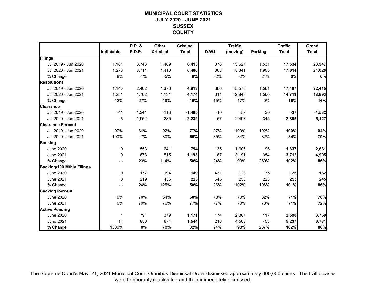## **MUNICIPAL COURT STATISTICSJULY 2020 - JUNE 2021 SUSSEX COUNTY**

|                                  |             | D.P. &        | Other    | <b>Criminal</b> |               | <b>Traffic</b> |                | <b>Traffic</b> | Grand        |
|----------------------------------|-------------|---------------|----------|-----------------|---------------|----------------|----------------|----------------|--------------|
|                                  | Indictables | <b>P.D.P.</b> | Criminal | <b>Total</b>    | <b>D.W.I.</b> | (moving)       | <b>Parking</b> | <b>Total</b>   | <b>Total</b> |
| Filings                          |             |               |          |                 |               |                |                |                |              |
| Jul 2019 - Jun 2020              | 1,181       | 3,743         | 1,489    | 6,413           | 376           | 15,627         | 1,531          | 17,534         | 23,947       |
| Jul 2020 - Jun 2021              | 1,276       | 3,714         | 1,416    | 6,406           | 368           | 15,341         | 1,905          | 17,614         | 24,020       |
| % Change                         | 8%          | $-1%$         | $-5%$    | 0%              | $-2%$         | $-2%$          | 24%            | 0%             | 0%           |
| <b>Resolutions</b>               |             |               |          |                 |               |                |                |                |              |
| Jul 2019 - Jun 2020              | 1,140       | 2,402         | 1,376    | 4,918           | 366           | 15,570         | 1,561          | 17,497         | 22,415       |
| Jul 2020 - Jun 2021              | 1,281       | 1,762         | 1,131    | 4,174           | 311           | 12,848         | 1,560          | 14,719         | 18,893       |
| % Change                         | 12%         | $-27%$        | $-18%$   | $-15%$          | $-15%$        | $-17%$         | 0%             | $-16%$         | $-16%$       |
| <b>Clearance</b>                 |             |               |          |                 |               |                |                |                |              |
| Jul 2019 - Jun 2020              | $-41$       | $-1,341$      | $-113$   | $-1,495$        | $-10$         | $-57$          | 30             | $-37$          | $-1,532$     |
| Jul 2020 - Jun 2021              | 5           | $-1,952$      | $-285$   | $-2,232$        | $-57$         | $-2,493$       | $-345$         | $-2,895$       | $-5,127$     |
| <b>Clearance Percent</b>         |             |               |          |                 |               |                |                |                |              |
| Jul 2019 - Jun 2020              | 97%         | 64%           | 92%      | 77%             | 97%           | 100%           | 102%           | 100%           | 94%          |
| Jul 2020 - Jun 2021              | 100%        | 47%           | 80%      | 65%             | 85%           | 84%            | 82%            | 84%            | 79%          |
| <b>Backlog</b>                   |             |               |          |                 |               |                |                |                |              |
| <b>June 2020</b>                 | 0           | 553           | 241      | 794             | 135           | 1,606          | 96             | 1,837          | 2,631        |
| <b>June 2021</b>                 | $\mathbf 0$ | 678           | 515      | 1,193           | 167           | 3,191          | 354            | 3,712          | 4,905        |
| % Change                         | $ -$        | 23%           | 114%     | 50%             | 24%           | 99%            | 269%           | 102%           | 86%          |
| <b>Backlog/100 Mthly Filings</b> |             |               |          |                 |               |                |                |                |              |
| <b>June 2020</b>                 | 0           | 177           | 194      | 149             | 431           | 123            | 75             | 126            | 132          |
| <b>June 2021</b>                 | $\mathbf 0$ | 219           | 436      | 223             | 545           | 250            | 223            | 253            | 245          |
| % Change                         | $ -$        | 24%           | 125%     | 50%             | 26%           | 102%           | 196%           | 101%           | 86%          |
| <b>Backlog Percent</b>           |             |               |          |                 |               |                |                |                |              |
| <b>June 2020</b>                 | 0%          | 70%           | 64%      | 68%             | 78%           | 70%            | 82%            | 71%            | 70%          |
| <b>June 2021</b>                 | 0%          | 79%           | 76%      | 77%             | 77%           | 70%            | 78%            | 71%            | 72%          |
| <b>Active Pending</b>            |             |               |          |                 |               |                |                |                |              |
| <b>June 2020</b>                 | 1           | 791           | 379      | 1,171           | 174           | 2,307          | 117            | 2,598          | 3,769        |
| <b>June 2021</b>                 | 14          | 856           | 674      | 1,544           | 216           | 4,568          | 453            | 5,237          | 6,781        |
| % Change                         | 1300%       | 8%            | 78%      | 32%             | 24%           | 98%            | 287%           | 102%           | 80%          |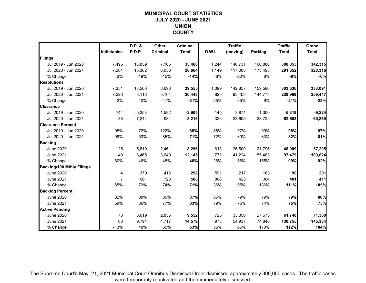## **MUNICIPAL COURT STATISTICSJULY 2020 - JUNE 2021 UNION COUNTY**

|                                  |                | D.P. &        | Other    | <b>Criminal</b> |               | <b>Traffic</b> |                | <b>Traffic</b> | Grand        |
|----------------------------------|----------------|---------------|----------|-----------------|---------------|----------------|----------------|----------------|--------------|
|                                  | Indictables    | <b>P.D.P.</b> | Criminal | <b>Total</b>    | <b>D.W.I.</b> | (moving)       | <b>Parking</b> | <b>Total</b>   | <b>Total</b> |
| Filings                          |                |               |          |                 |               |                |                |                |              |
| Jul 2019 - Jun 2020              | 7,495          | 18,859        | 7,106    | 33,460          | 1.244         | 146,731        | 160,880        | 308,855        | 342,315      |
| Jul 2020 - Jun 2021              | 7,264          | 15,362        | 6,038    | 28,664          | 1,149         | 117,008        | 173,495        | 291,652        | 320,316      |
| % Change                         | $-3%$          | $-19%$        | $-15%$   | $-14%$          | $-8%$         | $-20%$         | 8%             | $-6%$          | $-6%$        |
| <b>Resolutions</b>               |                |               |          |                 |               |                |                |                |              |
| Jul 2019 - Jun 2020              | 7,351          | 13,506        | 8,698    | 29,555          | 1,099         | 142,857        | 159,580        | 303,536        | 333,091      |
| Jul 2020 - Jun 2021              | 7,226          | 8,118         | 5,104    | 20,448          | 823           | 93,403         | 144,773        | 238,999        | 259,447      |
| % Change                         | $-2%$          | $-40%$        | $-41%$   | $-31%$          | $-25%$        | $-35%$         | $-9%$          | $-21%$         | $-22%$       |
| <b>Clearance</b>                 |                |               |          |                 |               |                |                |                |              |
| Jul 2019 - Jun 2020              | $-144$         | $-5,353$      | 1,592    | $-3,905$        | $-145$        | $-3,874$       | $-1,300$       | $-5,319$       | $-9,224$     |
| Jul 2020 - Jun 2021              | $-38$          | $-7,244$      | $-934$   | $-8,216$        | $-326$        | $-23,605$      | $-28,722$      | $-52,653$      | $-60,869$    |
| <b>Clearance Percent</b>         |                |               |          |                 |               |                |                |                |              |
| Jul 2019 - Jun 2020              | 98%            | 72%           | 122%     | 88%             | 88%           | 97%            | 99%            | 98%            | 97%          |
| Jul 2020 - Jun 2021              | 99%            | 53%           | 85%      | 71%             | 72%           | 80%            | 83%            | 82%            | 81%          |
| <b>Backlog</b>                   |                |               |          |                 |               |                |                |                |              |
| <b>June 2020</b>                 | 25             | 5,810         | 2,461    | 8,296           | 613           | 26,500         | 21,796         | 48,909         | 57,205       |
| <b>June 2021</b>                 | 40             | 8,465         | 3,640    | 12,145          | 772           | 41,224         | 55,483         | 97,479         | 109,624      |
| % Change                         | 60%            | 46%           | 48%      | 46%             | 26%           | 56%            | 155%           | 99%            | 92%          |
| <b>Backlog/100 Mthly Filings</b> |                |               |          |                 |               |                |                |                |              |
| <b>June 2020</b>                 | 4              | 370           | 416      | 298             | 591           | 217            | 163            | 190            | 201          |
| <b>June 2021</b>                 | $\overline{7}$ | 661           | 723      | 508             | 806           | 423            | 384            | 401            | 411          |
| % Change                         | 65%            | 79%           | 74%      | 71%             | 36%           | 95%            | 136%           | 111%           | 105%         |
| <b>Backlog Percent</b>           |                |               |          |                 |               |                |                |                |              |
| <b>June 2020</b>                 | 32%            | 88%           | 86%      | 87%             | 85%           | 79%            | 79%            | 79%            | 80%          |
| <b>June 2021</b>                 | 59%            | 86%           | 77%      | 83%             | 79%           | 75%            | 74%            | 75%            | 75%          |
| <b>Active Pending</b>            |                |               |          |                 |               |                |                |                |              |
| <b>June 2020</b>                 | 78             | 6,619         | 2,855    | 9,552           | 725           | 33,350         | 27,673         | 61,748         | 71,300       |
| <b>June 2021</b>                 | 68             | 9,794         | 4,717    | 14,579          | 978           | 54,937         | 74,840         | 130,755        | 145,334      |
| % Change                         | $-13%$         | 48%           | 65%      | 53%             | 35%           | 65%            | 170%           | 112%           | 104%         |